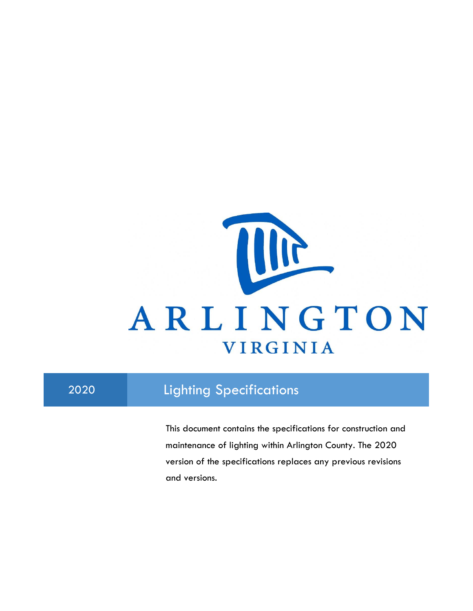

# 2020 Lighting Specifications

This document contains the specifications for construction and maintenance of lighting within Arlington County. The 2020 version of the specifications replaces any previous revisions and versions.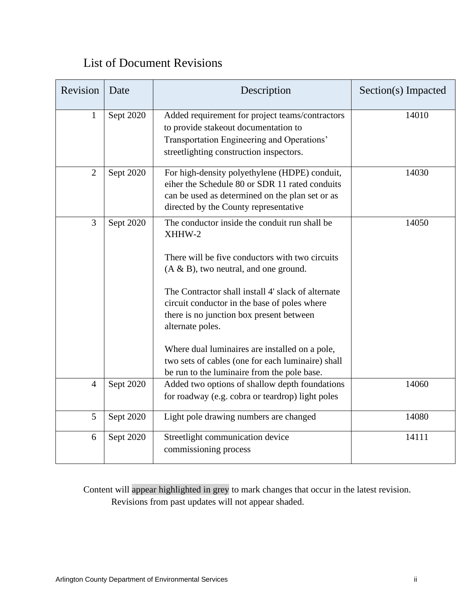# List of Document Revisions

| Revision       | Date      | Description                                                                                                                                                                                                                                                                                                                                                                                                                                                                        | Section(s) Impacted |
|----------------|-----------|------------------------------------------------------------------------------------------------------------------------------------------------------------------------------------------------------------------------------------------------------------------------------------------------------------------------------------------------------------------------------------------------------------------------------------------------------------------------------------|---------------------|
| $\mathbf{1}$   | Sept 2020 | Added requirement for project teams/contractors<br>to provide stakeout documentation to<br>Transportation Engineering and Operations'<br>streetlighting construction inspectors.                                                                                                                                                                                                                                                                                                   | 14010               |
| $\overline{2}$ | Sept 2020 | For high-density polyethylene (HDPE) conduit,<br>eiher the Schedule 80 or SDR 11 rated conduits<br>can be used as determined on the plan set or as<br>directed by the County representative                                                                                                                                                                                                                                                                                        | 14030               |
| $\overline{3}$ | Sept 2020 | The conductor inside the conduit run shall be<br>XHHW-2<br>There will be five conductors with two circuits<br>$(A & B)$ , two neutral, and one ground.<br>The Contractor shall install 4' slack of alternate<br>circuit conductor in the base of poles where<br>there is no junction box present between<br>alternate poles.<br>Where dual luminaires are installed on a pole,<br>two sets of cables (one for each luminaire) shall<br>be run to the luminaire from the pole base. | 14050               |
| $\overline{4}$ | Sept 2020 | Added two options of shallow depth foundations<br>for roadway (e.g. cobra or teardrop) light poles                                                                                                                                                                                                                                                                                                                                                                                 | 14060               |
| 5              | Sept 2020 | Light pole drawing numbers are changed                                                                                                                                                                                                                                                                                                                                                                                                                                             | 14080               |
| 6              | Sept 2020 | Streetlight communication device<br>commissioning process                                                                                                                                                                                                                                                                                                                                                                                                                          | 14111               |

Content will appear highlighted in grey to mark changes that occur in the latest revision. Revisions from past updates will not appear shaded.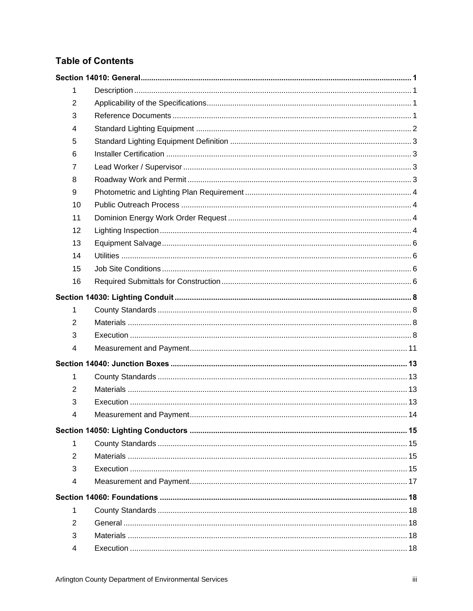## **Table of Contents**

| 1              |  |
|----------------|--|
| $\overline{2}$ |  |
| 3              |  |
| 4              |  |
| 5              |  |
| 6              |  |
| $\overline{7}$ |  |
| 8              |  |
| 9              |  |
| 10             |  |
| 11             |  |
| 12             |  |
| 13             |  |
| 14             |  |
| 15             |  |
| 16             |  |
|                |  |
| 1              |  |
| 2              |  |
| 3              |  |
| 4              |  |
|                |  |
| 1              |  |
| $\overline{2}$ |  |
| 3              |  |
| 4              |  |
|                |  |
|                |  |
| 1              |  |
| $\overline{2}$ |  |
| 3              |  |
| 4              |  |
|                |  |
| 1              |  |
| 2              |  |
| 3              |  |
| 4              |  |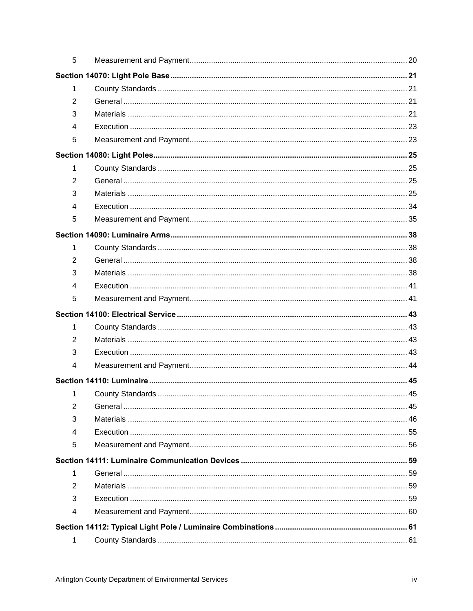| 5              |  |
|----------------|--|
|                |  |
| 1              |  |
| 2              |  |
| 3              |  |
| 4              |  |
| 5              |  |
|                |  |
| 1              |  |
| 2              |  |
| 3              |  |
| $\overline{4}$ |  |
| 5              |  |
|                |  |
| 1              |  |
| $\overline{2}$ |  |
| 3              |  |
| 4              |  |
| 5              |  |
|                |  |
| 1              |  |
| 2              |  |
| 3              |  |
| 4              |  |
|                |  |
| 1              |  |
| $\overline{2}$ |  |
| 3              |  |
| 4              |  |
| 5              |  |
|                |  |
| 1              |  |
| 2              |  |
| 3              |  |
| 4              |  |
|                |  |
| 1              |  |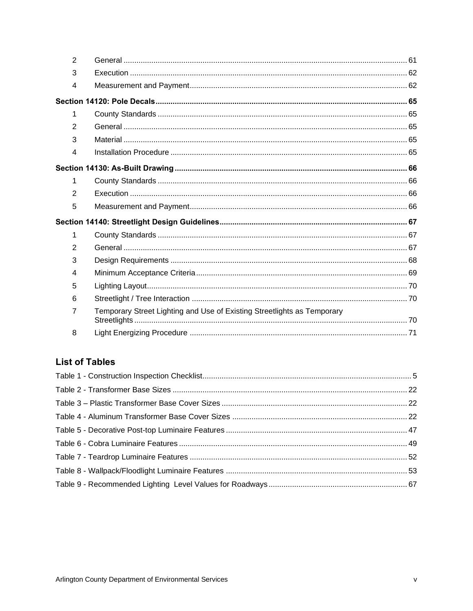| $\overline{2}$ |                                                                         |  |
|----------------|-------------------------------------------------------------------------|--|
| 3              |                                                                         |  |
| 4              |                                                                         |  |
|                |                                                                         |  |
| 1              |                                                                         |  |
| $\overline{2}$ |                                                                         |  |
| 3              |                                                                         |  |
| 4              |                                                                         |  |
|                |                                                                         |  |
| 1              |                                                                         |  |
| 2              |                                                                         |  |
| 5              |                                                                         |  |
|                |                                                                         |  |
| 1              |                                                                         |  |
| 2              |                                                                         |  |
| 3              |                                                                         |  |
| 4              |                                                                         |  |
| 5              |                                                                         |  |
| 6              |                                                                         |  |
| $\overline{7}$ | Temporary Street Lighting and Use of Existing Streetlights as Temporary |  |
| 8              |                                                                         |  |

## **List of Tables**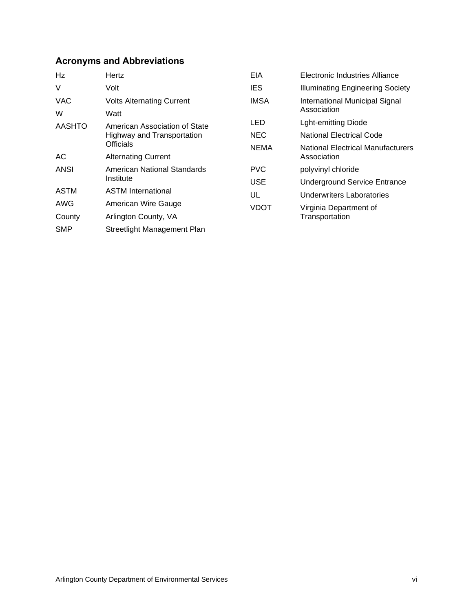## **Acronyms and Abbreviations**

| Hz            | Hertz                            | EIA         | Electronic Industries Alliance          |
|---------------|----------------------------------|-------------|-----------------------------------------|
| V             | Volt                             | <b>IES</b>  | <b>Illuminating Engineering Society</b> |
| <b>VAC</b>    | <b>Volts Alternating Current</b> | <b>IMSA</b> | International Municipal Signal          |
| W             | Watt                             |             | Association                             |
| <b>AASHTO</b> | American Association of State    | LED         | <b>Lght-emitting Diode</b>              |
|               | Highway and Transportation       | <b>NEC</b>  | <b>National Electrical Code</b>         |
|               | Officials                        | <b>NEMA</b> | National Electrical Manufacturers       |
| АC            | <b>Alternating Current</b>       |             | Association                             |
| <b>ANSI</b>   | American National Standards      | <b>PVC</b>  | polyvinyl chloride                      |
|               | Institute                        | <b>USE</b>  | <b>Underground Service Entrance</b>     |
| ASTM          | <b>ASTM International</b>        | UL          | Underwriters Laboratories               |
| AWG           | American Wire Gauge              | <b>VDOT</b> | Virginia Department of                  |
| County        | Arlington County, VA             |             | Transportation                          |
| <b>SMP</b>    | Streetlight Management Plan      |             |                                         |
|               |                                  |             |                                         |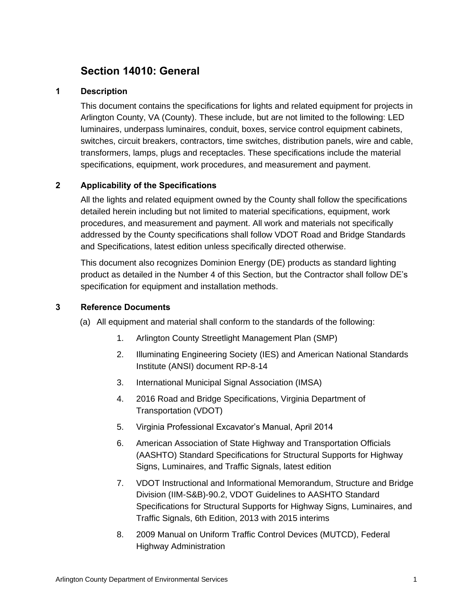# <span id="page-6-0"></span>**Section 14010: General**

## <span id="page-6-1"></span>**1 Description**

This document contains the specifications for lights and related equipment for projects in Arlington County, VA (County). These include, but are not limited to the following: LED luminaires, underpass luminaires, conduit, boxes, service control equipment cabinets, switches, circuit breakers, contractors, time switches, distribution panels, wire and cable, transformers, lamps, plugs and receptacles. These specifications include the material specifications, equipment, work procedures, and measurement and payment.

## <span id="page-6-2"></span>**2 Applicability of the Specifications**

All the lights and related equipment owned by the County shall follow the specifications detailed herein including but not limited to material specifications, equipment, work procedures, and measurement and payment. All work and materials not specifically addressed by the County specifications shall follow VDOT Road and Bridge Standards and Specifications, latest edition unless specifically directed otherwise.

This document also recognizes Dominion Energy (DE) products as standard lighting product as detailed in the Number 4 of this Section, but the Contractor shall follow DE's specification for equipment and installation methods.

#### <span id="page-6-3"></span>**3 Reference Documents**

- (a) All equipment and material shall conform to the standards of the following:
	- 1. Arlington County Streetlight Management Plan (SMP)
	- 2. Illuminating Engineering Society (IES) and American National Standards Institute (ANSI) document RP-8-14
	- 3. International Municipal Signal Association (IMSA)
	- 4. 2016 Road and Bridge Specifications, Virginia Department of Transportation (VDOT)
	- 5. Virginia Professional Excavator's Manual, April 2014
	- 6. American Association of State Highway and Transportation Officials (AASHTO) Standard Specifications for Structural Supports for Highway Signs, Luminaires, and Traffic Signals, latest edition
	- 7. VDOT Instructional and Informational Memorandum, Structure and Bridge Division (IIM-S&B)-90.2, VDOT Guidelines to AASHTO Standard Specifications for Structural Supports for Highway Signs, Luminaires, and Traffic Signals, 6th Edition, 2013 with 2015 interims
	- 8. 2009 Manual on Uniform Traffic Control Devices (MUTCD), Federal Highway Administration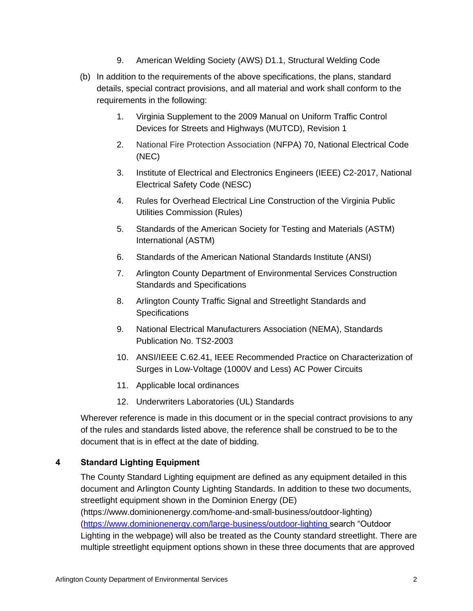- 9. American Welding Society (AWS) D1.1, Structural Welding Code
- (b) In addition to the requirements of the above specifications, the plans, standard details, special contract provisions, and all material and work shall conform to the requirements in the following:
	- 1. Virginia Supplement to the 2009 Manual on Uniform Traffic Control Devices for Streets and Highways (MUTCD), Revision 1
	- 2. National Fire Protection Association (NFPA) 70, National Electrical Code (NEC)
	- 3. Institute of Electrical and Electronics Engineers (IEEE) C2-2017, National Electrical Safety Code (NESC)
	- 4. Rules for Overhead Electrical Line Construction of the Virginia Public Utilities Commission (Rules)
	- 5. Standards of the American Society for Testing and Materials (ASTM) International (ASTM)
	- 6. Standards of the American National Standards Institute (ANSI)
	- 7. Arlington County Department of Environmental Services Construction Standards and Specifications
	- 8. Arlington County Traffic Signal and Streetlight Standards and **Specifications**
	- 9. National Electrical Manufacturers Association (NEMA), Standards Publication No. TS2-2003
	- 10. ANSI/IEEE C.62.41, IEEE Recommended Practice on Characterization of Surges in Low-Voltage (1000V and Less) AC Power Circuits
	- 11. Applicable local ordinances
	- 12. Underwriters Laboratories (UL) Standards

Wherever reference is made in this document or in the special contract provisions to any of the rules and standards listed above, the reference shall be construed to be to the document that is in effect at the date of bidding.

## <span id="page-7-0"></span>**4 Standard Lighting Equipment**

The County Standard Lighting equipment are defined as any equipment detailed in this document and Arlington County Lighting Standards. In addition to these two documents, streetlight equipment shown in the Dominion Energy (DE) [\(https://www.dominionenergy.com/home-and-small-business/outdoor-lighting\)](https://www.dominionenergy.com/home-and-small-business/outdoor-lighting) [\(https://www.dominionenergy.com/large-business/outdoor-lighting](https://www.dominionenergy.com/large-business/outdoor-lighting) search "Outdoor Lighting in the webpage) will also be treated as the County standard streetlight. There are multiple streetlight equipment options shown in these three documents that are approved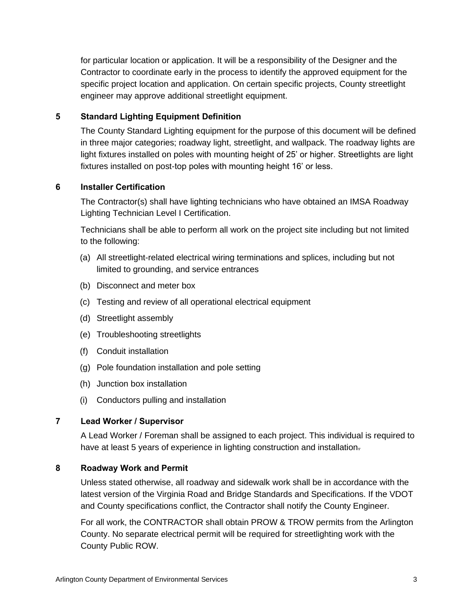for particular location or application. It will be a responsibility of the Designer and the Contractor to coordinate early in the process to identify the approved equipment for the specific project location and application. On certain specific projects, County streetlight engineer may approve additional streetlight equipment.

## <span id="page-8-0"></span>**5 Standard Lighting Equipment Definition**

The County Standard Lighting equipment for the purpose of this document will be defined in three major categories; roadway light, streetlight, and wallpack. The roadway lights are light fixtures installed on poles with mounting height of 25' or higher. Streetlights are light fixtures installed on post-top poles with mounting height 16' or less.

## <span id="page-8-1"></span>**6 Installer Certification**

The Contractor(s) shall have lighting technicians who have obtained an IMSA Roadway Lighting Technician Level I Certification.

Technicians shall be able to perform all work on the project site including but not limited to the following:

- (a) All streetlight-related electrical wiring terminations and splices, including but not limited to grounding, and service entrances
- (b) Disconnect and meter box
- (c) Testing and review of all operational electrical equipment
- (d) Streetlight assembly
- (e) Troubleshooting streetlights
- (f) Conduit installation
- (g) Pole foundation installation and pole setting
- (h) Junction box installation
- (i) Conductors pulling and installation

#### <span id="page-8-2"></span>**7 Lead Worker / Supervisor**

A Lead Worker / Foreman shall be assigned to each project. This individual is required to have at least 5 years of experience in lighting construction and installation-

#### <span id="page-8-3"></span>**8 Roadway Work and Permit**

Unless stated otherwise, all roadway and sidewalk work shall be in accordance with the latest version of the Virginia Road and Bridge Standards and Specifications. If the VDOT and County specifications conflict, the Contractor shall notify the County Engineer.

For all work, the CONTRACTOR shall obtain PROW & TROW permits from the Arlington County. No separate electrical permit will be required for streetlighting work with the County Public ROW.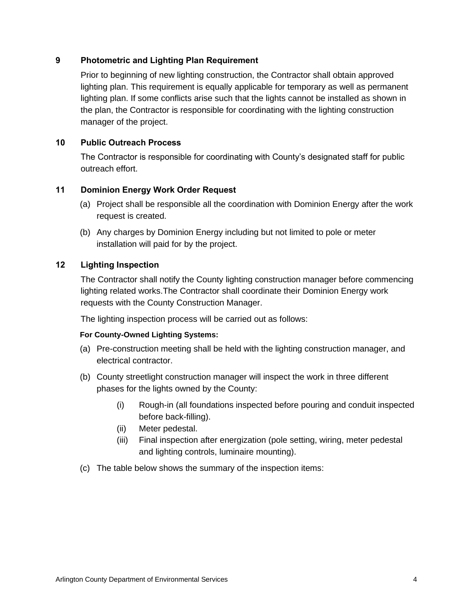## <span id="page-9-0"></span>**9 Photometric and Lighting Plan Requirement**

Prior to beginning of new lighting construction, the Contractor shall obtain approved lighting plan. This requirement is equally applicable for temporary as well as permanent lighting plan. If some conflicts arise such that the lights cannot be installed as shown in the plan, the Contractor is responsible for coordinating with the lighting construction manager of the project.

#### <span id="page-9-1"></span>**10 Public Outreach Process**

The Contractor is responsible for coordinating with County's designated staff for public outreach effort.

#### <span id="page-9-2"></span>**11 Dominion Energy Work Order Request**

- (a) Project shall be responsible all the coordination with Dominion Energy after the work request is created.
- (b) Any charges by Dominion Energy including but not limited to pole or meter installation will paid for by the project.

## <span id="page-9-3"></span>**12 Lighting Inspection**

The Contractor shall notify the County lighting construction manager before commencing lighting related works.The Contractor shall coordinate their Dominion Energy work requests with the County Construction Manager.

The lighting inspection process will be carried out as follows:

#### **For County-Owned Lighting Systems:**

- (a) Pre-construction meeting shall be held with the lighting construction manager, and electrical contractor.
- (b) County streetlight construction manager will inspect the work in three different phases for the lights owned by the County:
	- (i) Rough-in (all foundations inspected before pouring and conduit inspected before back-filling).
	- (ii) Meter pedestal.
	- (iii) Final inspection after energization (pole setting, wiring, meter pedestal and lighting controls, luminaire mounting).
- (c) The table below shows the summary of the inspection items: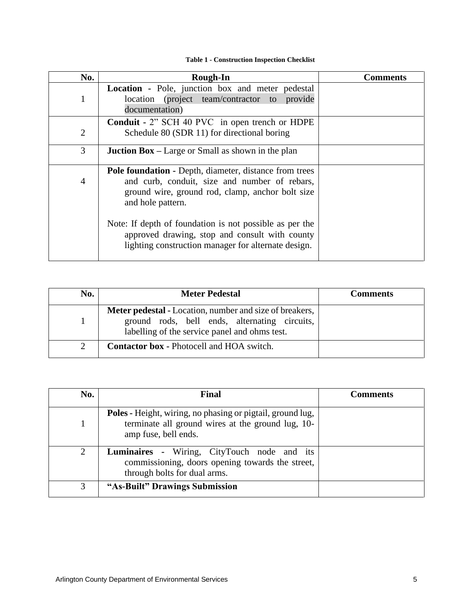#### **Table 1 - Construction Inspection Checklist**

<span id="page-10-0"></span>

| No.            | <b>Rough-In</b>                                                                                                                                                                         | Comments |
|----------------|-----------------------------------------------------------------------------------------------------------------------------------------------------------------------------------------|----------|
| 1              | Location - Pole, junction box and meter pedestal<br>location (project team/contractor to provide<br>documentation)                                                                      |          |
| $\overline{2}$ | Conduit - 2" SCH 40 PVC in open trench or HDPE<br>Schedule 80 (SDR 11) for directional boring                                                                                           |          |
| 3              | <b>Juction Box</b> – Large or Small as shown in the plan                                                                                                                                |          |
| $\overline{4}$ | <b>Pole foundation - Depth, diameter, distance from trees</b><br>and curb, conduit, size and number of rebars,<br>ground wire, ground rod, clamp, anchor bolt size<br>and hole pattern. |          |
|                | Note: If depth of foundation is not possible as per the<br>approved drawing, stop and consult with county<br>lighting construction manager for alternate design.                        |          |

| No. | <b>Meter Pedestal</b>                                                                                                                                            | <b>Comments</b> |
|-----|------------------------------------------------------------------------------------------------------------------------------------------------------------------|-----------------|
|     | <b>Meter pedestal - Location, number and size of breakers,</b><br>ground rods, bell ends, alternating circuits,<br>labelling of the service panel and ohms test. |                 |
|     | <b>Contactor box - Photocell and HOA switch.</b>                                                                                                                 |                 |

| No. | Final                                                                                                                                          | <b>Comments</b> |
|-----|------------------------------------------------------------------------------------------------------------------------------------------------|-----------------|
|     | <b>Poles - Height, wiring, no phasing or pigtail, ground lug,</b><br>terminate all ground wires at the ground lug, 10-<br>amp fuse, bell ends. |                 |
| 2   | <b>Luminaires -</b> Wiring, CityTouch node and its<br>commissioning, doors opening towards the street,<br>through bolts for dual arms.         |                 |
| 3   | "As-Built" Drawings Submission                                                                                                                 |                 |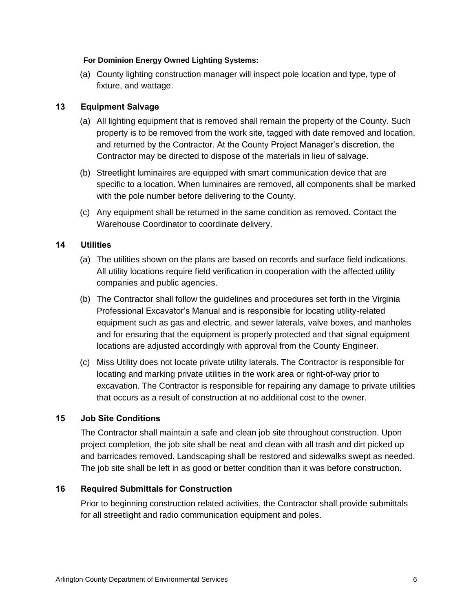#### **For Dominion Energy Owned Lighting Systems:**

(a) County lighting construction manager will inspect pole location and type, type of fixture, and wattage.

## <span id="page-11-0"></span>**13 Equipment Salvage**

- (a) All lighting equipment that is removed shall remain the property of the County. Such property is to be removed from the work site, tagged with date removed and location, and returned by the Contractor. At the County Project Manager's discretion, the Contractor may be directed to dispose of the materials in lieu of salvage.
- (b) Streetlight luminaires are equipped with smart communication device that are specific to a location. When luminaires are removed, all components shall be marked with the pole number before delivering to the County.
- (c) Any equipment shall be returned in the same condition as removed. Contact the Warehouse Coordinator to coordinate delivery.

## <span id="page-11-1"></span>**14 Utilities**

- (a) The utilities shown on the plans are based on records and surface field indications. All utility locations require field verification in cooperation with the affected utility companies and public agencies.
- (b) The Contractor shall follow the guidelines and procedures set forth in the Virginia Professional Excavator's Manual and is responsible for locating utility-related equipment such as gas and electric, and sewer laterals, valve boxes, and manholes and for ensuring that the equipment is properly protected and that signal equipment locations are adjusted accordingly with approval from the County Engineer.
- (c) Miss Utility does not locate private utility laterals. The Contractor is responsible for locating and marking private utilities in the work area or right-of-way prior to excavation. The Contractor is responsible for repairing any damage to private utilities that occurs as a result of construction at no additional cost to the owner.

#### <span id="page-11-2"></span>**15 Job Site Conditions**

The Contractor shall maintain a safe and clean job site throughout construction. Upon project completion, the job site shall be neat and clean with all trash and dirt picked up and barricades removed. Landscaping shall be restored and sidewalks swept as needed. The job site shall be left in as good or better condition than it was before construction.

#### <span id="page-11-3"></span>**16 Required Submittals for Construction**

Prior to beginning construction related activities, the Contractor shall provide submittals for all streetlight and radio communication equipment and poles.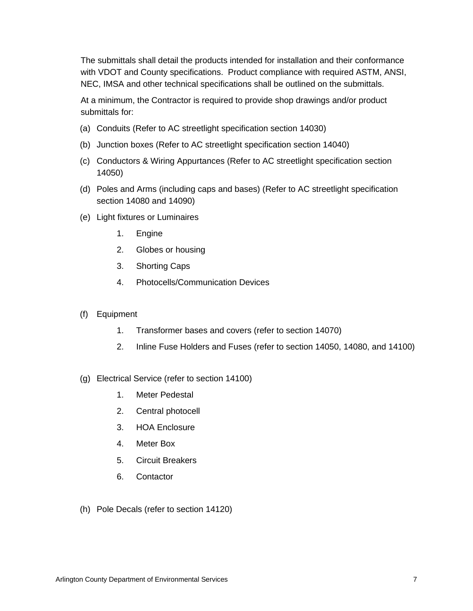The submittals shall detail the products intended for installation and their conformance with VDOT and County specifications. Product compliance with required ASTM, ANSI, NEC, IMSA and other technical specifications shall be outlined on the submittals.

At a minimum, the Contractor is required to provide shop drawings and/or product submittals for:

- (a) Conduits (Refer to AC streetlight specification section 14030)
- (b) Junction boxes (Refer to AC streetlight specification section 14040)
- (c) Conductors & Wiring Appurtances (Refer to AC streetlight specification section 14050)
- (d) Poles and Arms (including caps and bases) (Refer to AC streetlight specification section 14080 and 14090)
- (e) Light fixtures or Luminaires
	- 1. Engine
	- 2. Globes or housing
	- 3. Shorting Caps
	- 4. Photocells/Communication Devices
- (f) Equipment
	- 1. Transformer bases and covers (refer to section 14070)
	- 2. Inline Fuse Holders and Fuses (refer to section 14050, 14080, and 14100)
- (g) Electrical Service (refer to section 14100)
	- 1. Meter Pedestal
	- 2. Central photocell
	- 3. HOA Enclosure
	- 4. Meter Box
	- 5. Circuit Breakers
	- 6. Contactor
- (h) Pole Decals (refer to section 14120)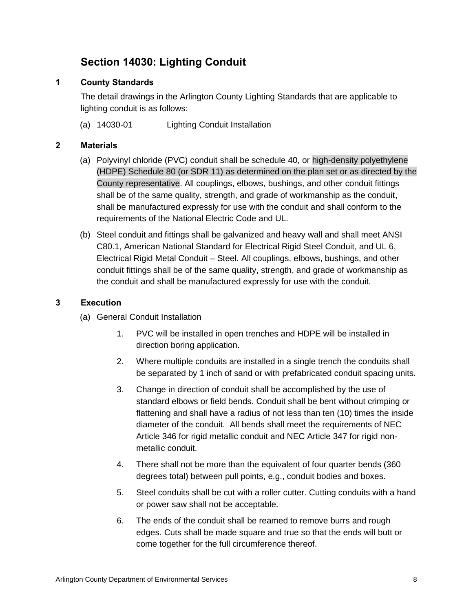# **Section 14030: Lighting Conduit**

## <span id="page-13-1"></span><span id="page-13-0"></span>**1 County Standards**

The detail drawings in the Arlington County Lighting Standards that are applicable to lighting conduit is as follows:

(a) 14030-01 Lighting Conduit Installation

## <span id="page-13-2"></span>**2 Materials**

- (a) Polyvinyl chloride (PVC) conduit shall be schedule 40, or high-density polyethylene (HDPE) Schedule 80 (or SDR 11) as determined on the plan set or as directed by the County representative. All couplings, elbows, bushings, and other conduit fittings shall be of the same quality, strength, and grade of workmanship as the conduit, shall be manufactured expressly for use with the conduit and shall conform to the requirements of the National Electric Code and UL.
- (b) Steel conduit and fittings shall be galvanized and heavy wall and shall meet ANSI C80.1, American National Standard for Electrical Rigid Steel Conduit, and UL 6, Electrical Rigid Metal Conduit – Steel. All couplings, elbows, bushings, and other conduit fittings shall be of the same quality, strength, and grade of workmanship as the conduit and shall be manufactured expressly for use with the conduit.

#### <span id="page-13-3"></span>**3 Execution**

- (a) General Conduit Installation
	- 1. PVC will be installed in open trenches and HDPE will be installed in direction boring application.
	- 2. Where multiple conduits are installed in a single trench the conduits shall be separated by 1 inch of sand or with prefabricated conduit spacing units.
	- 3. Change in direction of conduit shall be accomplished by the use of standard elbows or field bends. Conduit shall be bent without crimping or flattening and shall have a radius of not less than ten (10) times the inside diameter of the conduit. All bends shall meet the requirements of NEC Article 346 for rigid metallic conduit and NEC Article 347 for rigid nonmetallic conduit.
	- 4. There shall not be more than the equivalent of four quarter bends (360 degrees total) between pull points, e.g., conduit bodies and boxes.
	- 5. Steel conduits shall be cut with a roller cutter. Cutting conduits with a hand or power saw shall not be acceptable.
	- 6. The ends of the conduit shall be reamed to remove burrs and rough edges. Cuts shall be made square and true so that the ends will butt or come together for the full circumference thereof.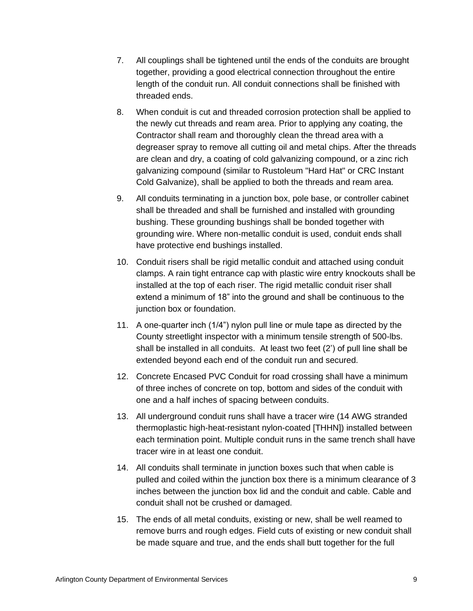- 7. All couplings shall be tightened until the ends of the conduits are brought together, providing a good electrical connection throughout the entire length of the conduit run. All conduit connections shall be finished with threaded ends.
- 8. When conduit is cut and threaded corrosion protection shall be applied to the newly cut threads and ream area. Prior to applying any coating, the Contractor shall ream and thoroughly clean the thread area with a degreaser spray to remove all cutting oil and metal chips. After the threads are clean and dry, a coating of cold galvanizing compound, or a zinc rich galvanizing compound (similar to Rustoleum "Hard Hat" or CRC Instant Cold Galvanize), shall be applied to both the threads and ream area.
- 9. All conduits terminating in a junction box, pole base, or controller cabinet shall be threaded and shall be furnished and installed with grounding bushing. These grounding bushings shall be bonded together with grounding wire. Where non-metallic conduit is used, conduit ends shall have protective end bushings installed.
- 10. Conduit risers shall be rigid metallic conduit and attached using conduit clamps. A rain tight entrance cap with plastic wire entry knockouts shall be installed at the top of each riser. The rigid metallic conduit riser shall extend a minimum of 18" into the ground and shall be continuous to the junction box or foundation.
- 11. A one-quarter inch (1/4") nylon pull line or mule tape as directed by the County streetlight inspector with a minimum tensile strength of 500-lbs. shall be installed in all conduits. At least two feet (2') of pull line shall be extended beyond each end of the conduit run and secured.
- 12. Concrete Encased PVC Conduit for road crossing shall have a minimum of three inches of concrete on top, bottom and sides of the conduit with one and a half inches of spacing between conduits.
- 13. All underground conduit runs shall have a tracer wire (14 AWG stranded thermoplastic high-heat-resistant nylon-coated [THHN]) installed between each termination point. Multiple conduit runs in the same trench shall have tracer wire in at least one conduit.
- 14. All conduits shall terminate in junction boxes such that when cable is pulled and coiled within the junction box there is a minimum clearance of 3 inches between the junction box lid and the conduit and cable. Cable and conduit shall not be crushed or damaged.
- 15. The ends of all metal conduits, existing or new, shall be well reamed to remove burrs and rough edges. Field cuts of existing or new conduit shall be made square and true, and the ends shall butt together for the full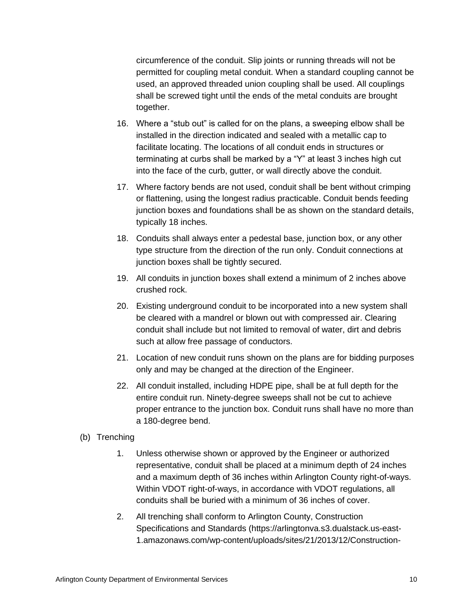circumference of the conduit. Slip joints or running threads will not be permitted for coupling metal conduit. When a standard coupling cannot be used, an approved threaded union coupling shall be used. All couplings shall be screwed tight until the ends of the metal conduits are brought together.

- 16. Where a "stub out" is called for on the plans, a sweeping elbow shall be installed in the direction indicated and sealed with a metallic cap to facilitate locating. The locations of all conduit ends in structures or terminating at curbs shall be marked by a "Y" at least 3 inches high cut into the face of the curb, gutter, or wall directly above the conduit.
- 17. Where factory bends are not used, conduit shall be bent without crimping or flattening, using the longest radius practicable. Conduit bends feeding junction boxes and foundations shall be as shown on the standard details, typically 18 inches.
- 18. Conduits shall always enter a pedestal base, junction box, or any other type structure from the direction of the run only. Conduit connections at junction boxes shall be tightly secured.
- 19. All conduits in junction boxes shall extend a minimum of 2 inches above crushed rock.
- 20. Existing underground conduit to be incorporated into a new system shall be cleared with a mandrel or blown out with compressed air. Clearing conduit shall include but not limited to removal of water, dirt and debris such at allow free passage of conductors.
- 21. Location of new conduit runs shown on the plans are for bidding purposes only and may be changed at the direction of the Engineer.
- 22. All conduit installed, including HDPE pipe, shall be at full depth for the entire conduit run. Ninety-degree sweeps shall not be cut to achieve proper entrance to the junction box. Conduit runs shall have no more than a 180-degree bend.
- (b) Trenching
	- 1. Unless otherwise shown or approved by the Engineer or authorized representative, conduit shall be placed at a minimum depth of 24 inches and a maximum depth of 36 inches within Arlington County right-of-ways. Within VDOT right-of-ways, in accordance with VDOT regulations, all conduits shall be buried with a minimum of 36 inches of cover.
	- 2. All trenching shall conform to Arlington County, Construction Specifications and Standards [\(https://arlingtonva.s3.dualstack.us-east-](https://arlingtonva.s3.dualstack.us-east-1.amazonaws.com/wp-content/uploads/sites/21/2013/12/Construction-Specifications-9-30-13.pdf)[1.amazonaws.com/wp-content/uploads/sites/21/2013/12/Construction-](https://arlingtonva.s3.dualstack.us-east-1.amazonaws.com/wp-content/uploads/sites/21/2013/12/Construction-Specifications-9-30-13.pdf)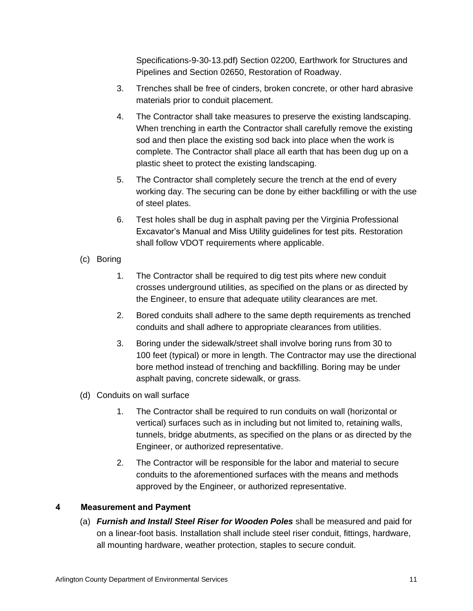[Specifications-9-30-13.pdf\)](https://arlingtonva.s3.dualstack.us-east-1.amazonaws.com/wp-content/uploads/sites/21/2013/12/Construction-Specifications-9-30-13.pdf) Section 02200, Earthwork for Structures and Pipelines and Section 02650, Restoration of Roadway.

- 3. Trenches shall be free of cinders, broken concrete, or other hard abrasive materials prior to conduit placement.
- 4. The Contractor shall take measures to preserve the existing landscaping. When trenching in earth the Contractor shall carefully remove the existing sod and then place the existing sod back into place when the work is complete. The Contractor shall place all earth that has been dug up on a plastic sheet to protect the existing landscaping.
- 5. The Contractor shall completely secure the trench at the end of every working day. The securing can be done by either backfilling or with the use of steel plates.
- 6. Test holes shall be dug in asphalt paving per the Virginia Professional Excavator's Manual and Miss Utility guidelines for test pits. Restoration shall follow VDOT requirements where applicable.
- (c) Boring
	- 1. The Contractor shall be required to dig test pits where new conduit crosses underground utilities, as specified on the plans or as directed by the Engineer, to ensure that adequate utility clearances are met.
	- 2. Bored conduits shall adhere to the same depth requirements as trenched conduits and shall adhere to appropriate clearances from utilities.
	- 3. Boring under the sidewalk/street shall involve boring runs from 30 to 100 feet (typical) or more in length. The Contractor may use the directional bore method instead of trenching and backfilling. Boring may be under asphalt paving, concrete sidewalk, or grass.
- (d) Conduits on wall surface
	- 1. The Contractor shall be required to run conduits on wall (horizontal or vertical) surfaces such as in including but not limited to, retaining walls, tunnels, bridge abutments, as specified on the plans or as directed by the Engineer, or authorized representative.
	- 2. The Contractor will be responsible for the labor and material to secure conduits to the aforementioned surfaces with the means and methods approved by the Engineer, or authorized representative.

## <span id="page-16-0"></span>**4 Measurement and Payment**

(a) *Furnish and Install Steel Riser for Wooden Poles* shall be measured and paid for on a linear-foot basis. Installation shall include steel riser conduit, fittings, hardware, all mounting hardware, weather protection, staples to secure conduit.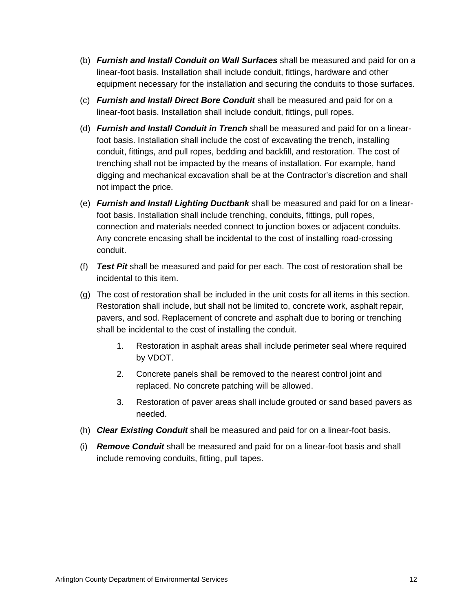- (b) *Furnish and Install Conduit on Wall Surfaces* shall be measured and paid for on a linear-foot basis. Installation shall include conduit, fittings, hardware and other equipment necessary for the installation and securing the conduits to those surfaces.
- (c) *Furnish and Install Direct Bore Conduit* shall be measured and paid for on a linear-foot basis. Installation shall include conduit, fittings, pull ropes.
- (d) *Furnish and Install Conduit in Trench* shall be measured and paid for on a linearfoot basis. Installation shall include the cost of excavating the trench, installing conduit, fittings, and pull ropes, bedding and backfill, and restoration. The cost of trenching shall not be impacted by the means of installation. For example, hand digging and mechanical excavation shall be at the Contractor's discretion and shall not impact the price.
- (e) *Furnish and Install Lighting Ductbank* shall be measured and paid for on a linearfoot basis. Installation shall include trenching, conduits, fittings, pull ropes, connection and materials needed connect to junction boxes or adjacent conduits. Any concrete encasing shall be incidental to the cost of installing road-crossing conduit.
- (f) *Test Pit* shall be measured and paid for per each. The cost of restoration shall be incidental to this item.
- (g) The cost of restoration shall be included in the unit costs for all items in this section. Restoration shall include, but shall not be limited to, concrete work, asphalt repair, pavers, and sod. Replacement of concrete and asphalt due to boring or trenching shall be incidental to the cost of installing the conduit.
	- 1. Restoration in asphalt areas shall include perimeter seal where required by VDOT.
	- 2. Concrete panels shall be removed to the nearest control joint and replaced. No concrete patching will be allowed.
	- 3. Restoration of paver areas shall include grouted or sand based pavers as needed.
- (h) *Clear Existing Conduit* shall be measured and paid for on a linear-foot basis.
- (i) *Remove Conduit* shall be measured and paid for on a linear-foot basis and shall include removing conduits, fitting, pull tapes.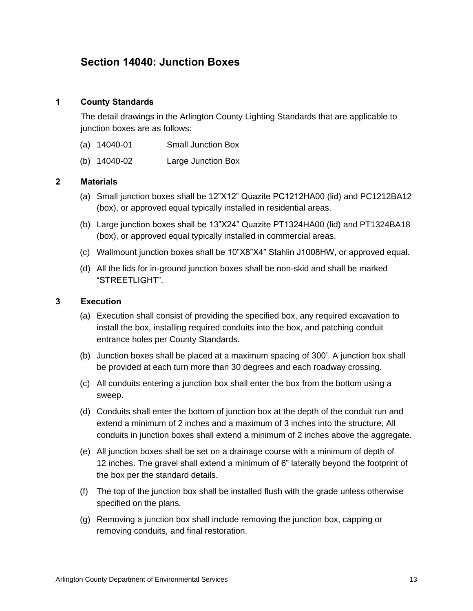## <span id="page-18-0"></span>**Section 14040: Junction Boxes**

#### <span id="page-18-1"></span>**1 County Standards**

The detail drawings in the Arlington County Lighting Standards that are applicable to junction boxes are as follows:

- (a) 14040-01 Small Junction Box
- (b) 14040-02 Large Junction Box

#### <span id="page-18-2"></span>**2 Materials**

- (a) Small junction boxes shall be 12"X12" Quazite PC1212HA00 (lid) and PC1212BA12 (box), or approved equal typically installed in residential areas.
- (b) Large junction boxes shall be 13"X24" Quazite PT1324HA00 (lid) and PT1324BA18 (box), or approved equal typically installed in commercial areas.
- (c) Wallmount junction boxes shall be 10"X8"X4" Stahlin J1008HW, or approved equal.
- (d) All the lids for in-ground junction boxes shall be non-skid and shall be marked "STREETLIGHT".

#### <span id="page-18-3"></span>**3 Execution**

- (a) Execution shall consist of providing the specified box, any required excavation to install the box, installing required conduits into the box, and patching conduit entrance holes per County Standards.
- (b) Junction boxes shall be placed at a maximum spacing of 300'. A junction box shall be provided at each turn more than 30 degrees and each roadway crossing.
- (c) All conduits entering a junction box shall enter the box from the bottom using a sweep.
- (d) Conduits shall enter the bottom of junction box at the depth of the conduit run and extend a minimum of 2 inches and a maximum of 3 inches into the structure. All conduits in junction boxes shall extend a minimum of 2 inches above the aggregate.
- (e) All junction boxes shall be set on a drainage course with a minimum of depth of 12 inches. The gravel shall extend a minimum of 6" laterally beyond the footprint of the box per the standard details.
- (f) The top of the junction box shall be installed flush with the grade unless otherwise specified on the plans.
- (g) Removing a junction box shall include removing the junction box, capping or removing conduits, and final restoration.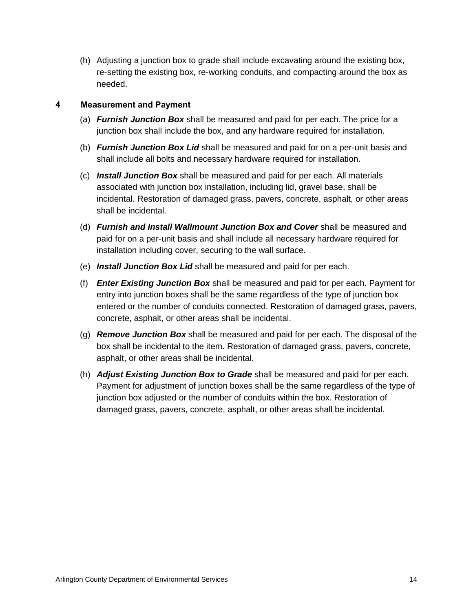(h) Adjusting a junction box to grade shall include excavating around the existing box, re-setting the existing box, re-working conduits, and compacting around the box as needed.

## <span id="page-19-0"></span>**4 Measurement and Payment**

- (a) *Furnish Junction Box* shall be measured and paid for per each. The price for a junction box shall include the box, and any hardware required for installation.
- (b) *Furnish Junction Box Lid* shall be measured and paid for on a per-unit basis and shall include all bolts and necessary hardware required for installation.
- (c) *Install Junction Box* shall be measured and paid for per each. All materials associated with junction box installation, including lid, gravel base, shall be incidental. Restoration of damaged grass, pavers, concrete, asphalt, or other areas shall be incidental.
- (d) *Furnish and Install Wallmount Junction Box and Cover* shall be measured and paid for on a per-unit basis and shall include all necessary hardware required for installation including cover, securing to the wall surface.
- (e) *Install Junction Box Lid* shall be measured and paid for per each.
- (f) *Enter Existing Junction Box* shall be measured and paid for per each. Payment for entry into junction boxes shall be the same regardless of the type of junction box entered or the number of conduits connected. Restoration of damaged grass, pavers, concrete, asphalt, or other areas shall be incidental.
- (g) *Remove Junction Box* shall be measured and paid for per each. The disposal of the box shall be incidental to the item. Restoration of damaged grass, pavers, concrete, asphalt, or other areas shall be incidental.
- (h) *Adjust Existing Junction Box to Grade* shall be measured and paid for per each. Payment for adjustment of junction boxes shall be the same regardless of the type of junction box adjusted or the number of conduits within the box. Restoration of damaged grass, pavers, concrete, asphalt, or other areas shall be incidental.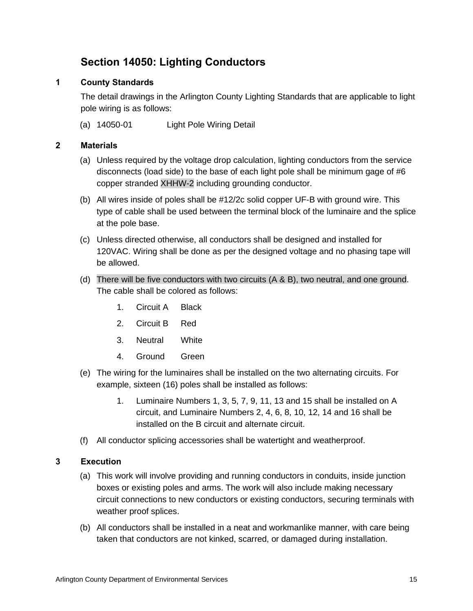# **Section 14050: Lighting Conductors**

## <span id="page-20-1"></span><span id="page-20-0"></span>**1 County Standards**

The detail drawings in the Arlington County Lighting Standards that are applicable to light pole wiring is as follows:

(a) 14050-01 Light Pole Wiring Detail

## <span id="page-20-2"></span>**2 Materials**

- (a) Unless required by the voltage drop calculation, lighting conductors from the service disconnects (load side) to the base of each light pole shall be minimum gage of #6 copper stranded XHHW-2 including grounding conductor.
- (b) All wires inside of poles shall be #12/2c solid copper UF-B with ground wire. This type of cable shall be used between the terminal block of the luminaire and the splice at the pole base.
- (c) Unless directed otherwise, all conductors shall be designed and installed for 120VAC. Wiring shall be done as per the designed voltage and no phasing tape will be allowed.
- (d) There will be five conductors with two circuits (A & B), two neutral, and one ground. The cable shall be colored as follows:
	- 1. Circuit A Black
	- 2. Circuit B Red
	- 3. Neutral White
	- 4. Ground Green
- (e) The wiring for the luminaires shall be installed on the two alternating circuits. For example, sixteen (16) poles shall be installed as follows:
	- 1. Luminaire Numbers 1, 3, 5, 7, 9, 11, 13 and 15 shall be installed on A circuit, and Luminaire Numbers 2, 4, 6, 8, 10, 12, 14 and 16 shall be installed on the B circuit and alternate circuit.
- (f) All conductor splicing accessories shall be watertight and weatherproof.

#### <span id="page-20-3"></span>**3 Execution**

- (a) This work will involve providing and running conductors in conduits, inside junction boxes or existing poles and arms. The work will also include making necessary circuit connections to new conductors or existing conductors, securing terminals with weather proof splices.
- (b) All conductors shall be installed in a neat and workmanlike manner, with care being taken that conductors are not kinked, scarred, or damaged during installation.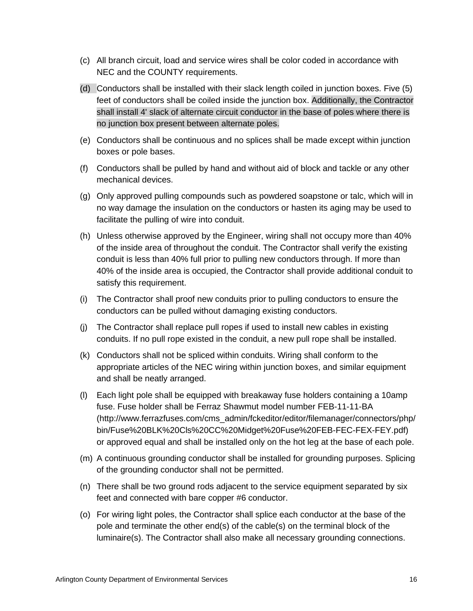- (c) All branch circuit, load and service wires shall be color coded in accordance with NEC and the COUNTY requirements.
- (d) Conductors shall be installed with their slack length coiled in junction boxes. Five (5) feet of conductors shall be coiled inside the junction box. Additionally, the Contractor shall install 4' slack of alternate circuit conductor in the base of poles where there is no junction box present between alternate poles.
- (e) Conductors shall be continuous and no splices shall be made except within junction boxes or pole bases.
- (f) Conductors shall be pulled by hand and without aid of block and tackle or any other mechanical devices.
- (g) Only approved pulling compounds such as powdered soapstone or talc, which will in no way damage the insulation on the conductors or hasten its aging may be used to facilitate the pulling of wire into conduit.
- (h) Unless otherwise approved by the Engineer, wiring shall not occupy more than 40% of the inside area of throughout the conduit. The Contractor shall verify the existing conduit is less than 40% full prior to pulling new conductors through. If more than 40% of the inside area is occupied, the Contractor shall provide additional conduit to satisfy this requirement.
- (i) The Contractor shall proof new conduits prior to pulling conductors to ensure the conductors can be pulled without damaging existing conductors.
- (j) The Contractor shall replace pull ropes if used to install new cables in existing conduits. If no pull rope existed in the conduit, a new pull rope shall be installed.
- (k) Conductors shall not be spliced within conduits. Wiring shall conform to the appropriate articles of the NEC wiring within junction boxes, and similar equipment and shall be neatly arranged.
- (l) Each light pole shall be equipped with breakaway fuse holders containing a 10amp fuse. Fuse holder shall be Ferraz Shawmut model number FEB-11-11-BA (http://www.ferrazfuses.com/cms\_admin/fckeditor/editor/filemanager/connectors/php/ bin/Fuse%20BLK%20Cls%20CC%20Midget%20Fuse%20FEB-FEC-FEX-FEY.pdf) or approved equal and shall be installed only on the hot leg at the base of each pole.
- (m) A continuous grounding conductor shall be installed for grounding purposes. Splicing of the grounding conductor shall not be permitted.
- (n) There shall be two ground rods adjacent to the service equipment separated by six feet and connected with bare copper #6 conductor.
- (o) For wiring light poles, the Contractor shall splice each conductor at the base of the pole and terminate the other end(s) of the cable(s) on the terminal block of the luminaire(s). The Contractor shall also make all necessary grounding connections.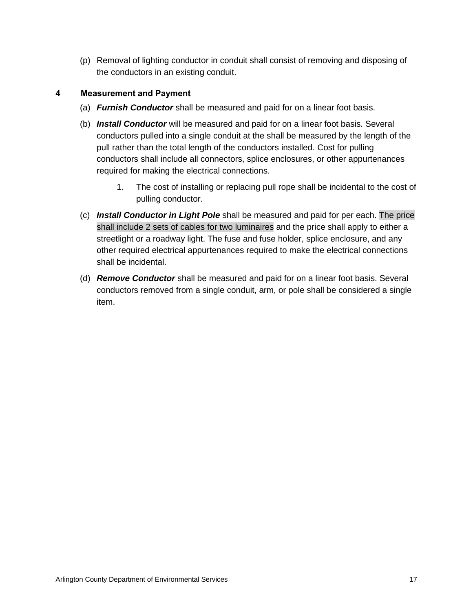(p) Removal of lighting conductor in conduit shall consist of removing and disposing of the conductors in an existing conduit.

## <span id="page-22-0"></span>**4 Measurement and Payment**

- (a) *Furnish Conductor* shall be measured and paid for on a linear foot basis.
- (b) *Install Conductor* will be measured and paid for on a linear foot basis. Several conductors pulled into a single conduit at the shall be measured by the length of the pull rather than the total length of the conductors installed. Cost for pulling conductors shall include all connectors, splice enclosures, or other appurtenances required for making the electrical connections.
	- 1. The cost of installing or replacing pull rope shall be incidental to the cost of pulling conductor.
- (c) *Install Conductor in Light Pole* shall be measured and paid for per each. The price shall include 2 sets of cables for two luminaires and the price shall apply to either a streetlight or a roadway light. The fuse and fuse holder, splice enclosure, and any other required electrical appurtenances required to make the electrical connections shall be incidental.
- (d) *Remove Conductor* shall be measured and paid for on a linear foot basis. Several conductors removed from a single conduit, arm, or pole shall be considered a single item.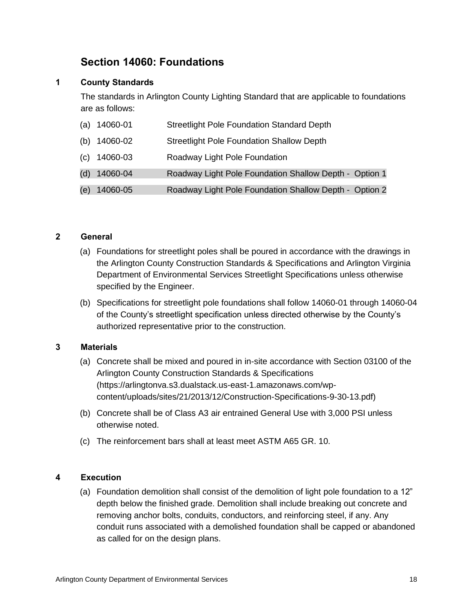# **Section 14060: Foundations**

## <span id="page-23-1"></span><span id="page-23-0"></span>**1 County Standards**

The standards in Arlington County Lighting Standard that are applicable to foundations are as follows:

|     | $(a)$ 14060-01   | <b>Streetlight Pole Foundation Standard Depth</b>      |
|-----|------------------|--------------------------------------------------------|
|     | (b) $14060 - 02$ | <b>Streetlight Pole Foundation Shallow Depth</b>       |
| (c) | 14060-03         | Roadway Light Pole Foundation                          |
| (d) | 14060-04         | Roadway Light Pole Foundation Shallow Depth - Option 1 |
| (e) | 14060-05         | Roadway Light Pole Foundation Shallow Depth - Option 2 |

#### <span id="page-23-2"></span>**2 General**

- (a) Foundations for streetlight poles shall be poured in accordance with the drawings in the Arlington County Construction Standards & Specifications and Arlington Virginia Department of Environmental Services Streetlight Specifications unless otherwise specified by the Engineer.
- (b) Specifications for streetlight pole foundations shall follow 14060-01 through 14060-04 of the County's streetlight specification unless directed otherwise by the County's authorized representative prior to the construction.

#### <span id="page-23-3"></span>**3 Materials**

- (a) Concrete shall be mixed and poured in in-site accordance with Section 03100 of the Arlington County Construction Standards & Specifications [\(https://arlingtonva.s3.dualstack.us-east-1.amazonaws.com/wp](https://arlingtonva.s3.dualstack.us-east-1.amazonaws.com/wp-content/uploads/sites/21/2013/12/Construction-Specifications-9-30-13.pdf)[content/uploads/sites/21/2013/12/Construction-Specifications-9-30-13.pdf\)](https://arlingtonva.s3.dualstack.us-east-1.amazonaws.com/wp-content/uploads/sites/21/2013/12/Construction-Specifications-9-30-13.pdf)
- (b) Concrete shall be of Class A3 air entrained General Use with 3,000 PSI unless otherwise noted.
- (c) The reinforcement bars shall at least meet ASTM A65 GR. 10.

#### <span id="page-23-4"></span>**4 Execution**

(a) Foundation demolition shall consist of the demolition of light pole foundation to a 12" depth below the finished grade. Demolition shall include breaking out concrete and removing anchor bolts, conduits, conductors, and reinforcing steel, if any. Any conduit runs associated with a demolished foundation shall be capped or abandoned as called for on the design plans.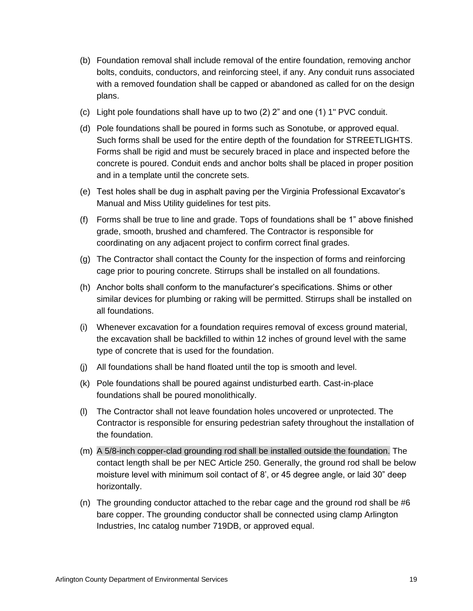- (b) Foundation removal shall include removal of the entire foundation, removing anchor bolts, conduits, conductors, and reinforcing steel, if any. Any conduit runs associated with a removed foundation shall be capped or abandoned as called for on the design plans.
- (c) Light pole foundations shall have up to two (2) 2" and one (1) 1" PVC conduit.
- (d) Pole foundations shall be poured in forms such as Sonotube, or approved equal. Such forms shall be used for the entire depth of the foundation for STREETLIGHTS. Forms shall be rigid and must be securely braced in place and inspected before the concrete is poured. Conduit ends and anchor bolts shall be placed in proper position and in a template until the concrete sets.
- (e) Test holes shall be dug in asphalt paving per the Virginia Professional Excavator's Manual and Miss Utility guidelines for test pits.
- (f) Forms shall be true to line and grade. Tops of foundations shall be 1" above finished grade, smooth, brushed and chamfered. The Contractor is responsible for coordinating on any adjacent project to confirm correct final grades.
- (g) The Contractor shall contact the County for the inspection of forms and reinforcing cage prior to pouring concrete. Stirrups shall be installed on all foundations.
- (h) Anchor bolts shall conform to the manufacturer's specifications. Shims or other similar devices for plumbing or raking will be permitted. Stirrups shall be installed on all foundations.
- (i) Whenever excavation for a foundation requires removal of excess ground material, the excavation shall be backfilled to within 12 inches of ground level with the same type of concrete that is used for the foundation.
- (j) All foundations shall be hand floated until the top is smooth and level.
- (k) Pole foundations shall be poured against undisturbed earth. Cast-in-place foundations shall be poured monolithically.
- (l) The Contractor shall not leave foundation holes uncovered or unprotected. The Contractor is responsible for ensuring pedestrian safety throughout the installation of the foundation.
- (m) A 5/8-inch copper-clad grounding rod shall be installed outside the foundation. The contact length shall be per NEC Article 250. Generally, the ground rod shall be below moisture level with minimum soil contact of 8', or 45 degree angle, or laid 30" deep horizontally.
- (n) The grounding conductor attached to the rebar cage and the ground rod shall be #6 bare copper. The grounding conductor shall be connected using clamp Arlington Industries, Inc catalog number 719DB, or approved equal.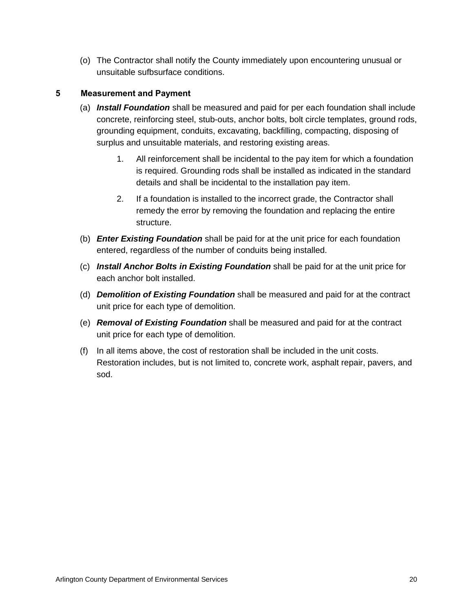(o) The Contractor shall notify the County immediately upon encountering unusual or unsuitable sufbsurface conditions.

## <span id="page-25-0"></span>**5 Measurement and Payment**

- (a) *Install Foundation* shall be measured and paid for per each foundation shall include concrete, reinforcing steel, stub-outs, anchor bolts, bolt circle templates, ground rods, grounding equipment, conduits, excavating, backfilling, compacting, disposing of surplus and unsuitable materials, and restoring existing areas.
	- 1. All reinforcement shall be incidental to the pay item for which a foundation is required. Grounding rods shall be installed as indicated in the standard details and shall be incidental to the installation pay item.
	- 2. If a foundation is installed to the incorrect grade, the Contractor shall remedy the error by removing the foundation and replacing the entire structure.
- (b) *Enter Existing Foundation* shall be paid for at the unit price for each foundation entered, regardless of the number of conduits being installed.
- (c) *Install Anchor Bolts in Existing Foundation* shall be paid for at the unit price for each anchor bolt installed.
- (d) *Demolition of Existing Foundation* shall be measured and paid for at the contract unit price for each type of demolition.
- (e) *Removal of Existing Foundation* shall be measured and paid for at the contract unit price for each type of demolition.
- (f) In all items above, the cost of restoration shall be included in the unit costs. Restoration includes, but is not limited to, concrete work, asphalt repair, pavers, and sod.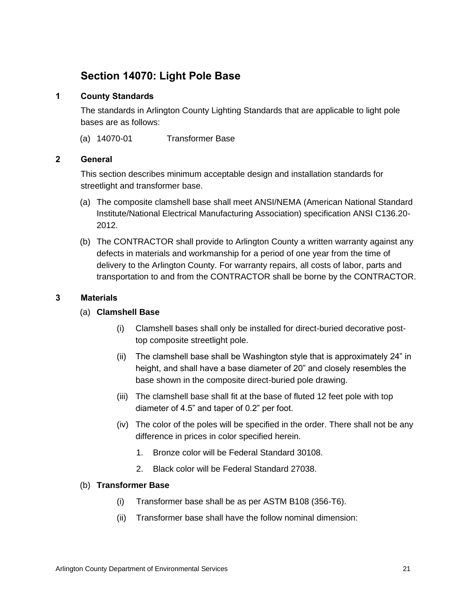# <span id="page-26-0"></span>**Section 14070: Light Pole Base**

## <span id="page-26-1"></span>**1 County Standards**

The standards in Arlington County Lighting Standards that are applicable to light pole bases are as follows:

(a) 14070-01 Transformer Base

#### <span id="page-26-2"></span>**2 General**

This section describes minimum acceptable design and installation standards for streetlight and transformer base.

- (a) The composite clamshell base shall meet ANSI/NEMA (American National Standard Institute/National Electrical Manufacturing Association) specification ANSI C136.20- 2012.
- (b) The CONTRACTOR shall provide to Arlington County a written warranty against any defects in materials and workmanship for a period of one year from the time of delivery to the Arlington County. For warranty repairs, all costs of labor, parts and transportation to and from the CONTRACTOR shall be borne by the CONTRACTOR.

#### <span id="page-26-3"></span>**3 Materials**

#### (a) **Clamshell Base**

- (i) Clamshell bases shall only be installed for direct-buried decorative posttop composite streetlight pole.
- (ii) The clamshell base shall be Washington style that is approximately 24" in height, and shall have a base diameter of 20" and closely resembles the base shown in the composite direct-buried pole drawing.
- (iii) The clamshell base shall fit at the base of fluted 12 feet pole with top diameter of 4.5" and taper of 0.2" per foot.
- (iv) The color of the poles will be specified in the order. There shall not be any difference in prices in color specified herein.
	- 1. Bronze color will be Federal Standard 30108.
	- 2. Black color will be Federal Standard 27038.

#### (b) **Transformer Base**

- (i) Transformer base shall be as per ASTM B108 (356-T6).
- (ii) Transformer base shall have the follow nominal dimension: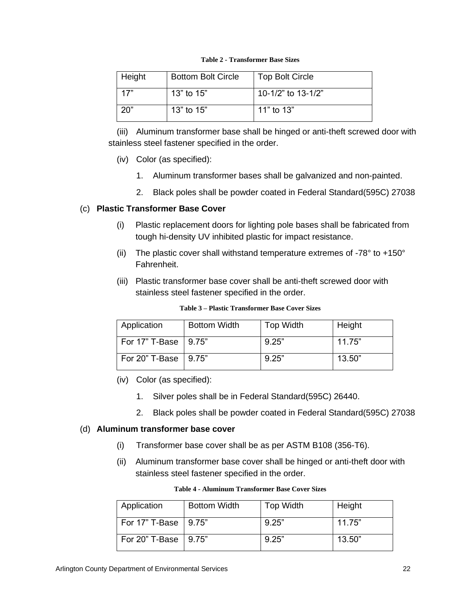<span id="page-27-0"></span>

| Height | <b>Bottom Bolt Circle</b> | <b>Top Bolt Circle</b> |
|--------|---------------------------|------------------------|
| 17"    | 13" to $15"$              | 10-1/2" to 13-1/2"     |
| 20"    | 13 $"$ to 15 $"$          | 11" to 13"             |

**Table 2 - Transformer Base Sizes**

(iii) Aluminum transformer base shall be hinged or anti-theft screwed door with stainless steel fastener specified in the order.

- (iv) Color (as specified):
	- 1. Aluminum transformer bases shall be galvanized and non-painted.
	- 2. Black poles shall be powder coated in Federal Standard(595C) 27038

## (c) **Plastic Transformer Base Cover**

- (i) Plastic replacement doors for lighting pole bases shall be fabricated from tough hi-density UV inhibited plastic for impact resistance.
- (ii) The plastic cover shall withstand temperature extremes of -78 $^{\circ}$  to +150 $^{\circ}$ Fahrenheit.
- (iii) Plastic transformer base cover shall be anti-theft screwed door with stainless steel fastener specified in the order.

<span id="page-27-1"></span>

| Application            | <b>Bottom Width</b> | Top Width | Height |
|------------------------|---------------------|-----------|--------|
| For 17" T-Base   9.75" |                     | 9.25"     | 11.75" |
| For 20" T-Base   9.75" |                     | 9.25"     | 13.50" |

**Table 3 – Plastic Transformer Base Cover Sizes**

- (iv) Color (as specified):
	- 1. Silver poles shall be in Federal Standard(595C) 26440.
	- 2. Black poles shall be powder coated in Federal Standard(595C) 27038

#### (d) **Aluminum transformer base cover**

- (i) Transformer base cover shall be as per ASTM B108 (356-T6).
- (ii) Aluminum transformer base cover shall be hinged or anti-theft door with stainless steel fastener specified in the order.

<span id="page-27-2"></span>

| <b>Application</b>     | <b>Bottom Width</b> | <b>Top Width</b> | Height |
|------------------------|---------------------|------------------|--------|
| For 17" T-Base   9.75" |                     | 9.25"            | 11.75" |
| For 20" T-Base   9.75" |                     | 9.25"            | 13.50" |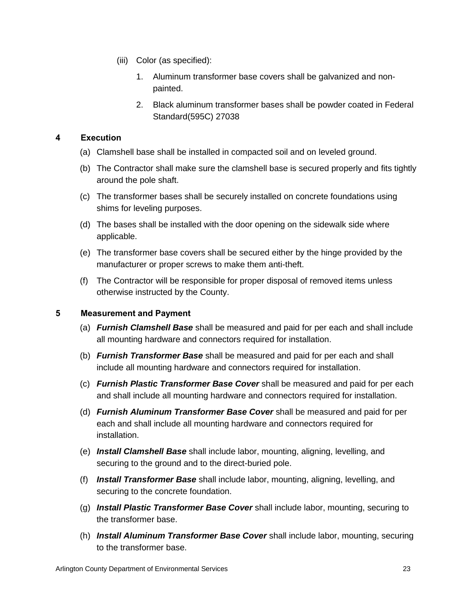- (iii) Color (as specified):
	- 1. Aluminum transformer base covers shall be galvanized and nonpainted.
	- 2. Black aluminum transformer bases shall be powder coated in Federal Standard(595C) 27038

## <span id="page-28-0"></span>**4 Execution**

- (a) Clamshell base shall be installed in compacted soil and on leveled ground.
- (b) The Contractor shall make sure the clamshell base is secured properly and fits tightly around the pole shaft.
- (c) The transformer bases shall be securely installed on concrete foundations using shims for leveling purposes.
- (d) The bases shall be installed with the door opening on the sidewalk side where applicable.
- (e) The transformer base covers shall be secured either by the hinge provided by the manufacturer or proper screws to make them anti-theft.
- (f) The Contractor will be responsible for proper disposal of removed items unless otherwise instructed by the County.

#### <span id="page-28-1"></span>**5 Measurement and Payment**

- (a) *Furnish Clamshell Base* shall be measured and paid for per each and shall include all mounting hardware and connectors required for installation.
- (b) *Furnish Transformer Base* shall be measured and paid for per each and shall include all mounting hardware and connectors required for installation.
- (c) *Furnish Plastic Transformer Base Cover* shall be measured and paid for per each and shall include all mounting hardware and connectors required for installation.
- (d) *Furnish Aluminum Transformer Base Cover* shall be measured and paid for per each and shall include all mounting hardware and connectors required for installation.
- (e) *Install Clamshell Base* shall include labor, mounting, aligning, levelling, and securing to the ground and to the direct-buried pole.
- (f) *Install Transformer Base* shall include labor, mounting, aligning, levelling, and securing to the concrete foundation.
- (g) *Install Plastic Transformer Base Cover* shall include labor, mounting, securing to the transformer base.
- (h) *Install Aluminum Transformer Base Cover* shall include labor, mounting, securing to the transformer base.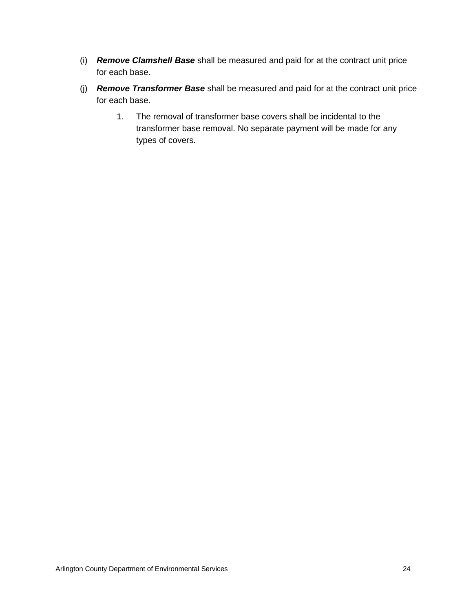- (i) *Remove Clamshell Base* shall be measured and paid for at the contract unit price for each base.
- (j) *Remove Transformer Base* shall be measured and paid for at the contract unit price for each base.
	- 1. The removal of transformer base covers shall be incidental to the transformer base removal. No separate payment will be made for any types of covers.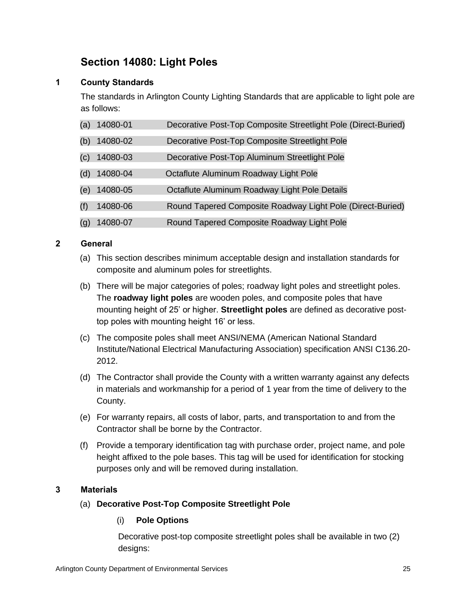# **Section 14080: Light Poles**

## <span id="page-30-1"></span><span id="page-30-0"></span>**1 County Standards**

The standards in Arlington County Lighting Standards that are applicable to light pole are as follows:

| (a) | 14080-01 | Decorative Post-Top Composite Streetlight Pole (Direct-Buried) |
|-----|----------|----------------------------------------------------------------|
| (b) | 14080-02 | Decorative Post-Top Composite Streetlight Pole                 |
| (c) | 14080-03 | Decorative Post-Top Aluminum Streetlight Pole                  |
| (d) | 14080-04 | Octaflute Aluminum Roadway Light Pole                          |
| (e) | 14080-05 | Octaflute Aluminum Roadway Light Pole Details                  |
| (f) | 14080-06 | Round Tapered Composite Roadway Light Pole (Direct-Buried)     |
| (g) | 14080-07 | Round Tapered Composite Roadway Light Pole                     |

## <span id="page-30-2"></span>**2 General**

- (a) This section describes minimum acceptable design and installation standards for composite and aluminum poles for streetlights.
- (b) There will be major categories of poles; roadway light poles and streetlight poles. The **roadway light poles** are wooden poles, and composite poles that have mounting height of 25' or higher. **Streetlight poles** are defined as decorative posttop poles with mounting height 16' or less.
- (c) The composite poles shall meet ANSI/NEMA (American National Standard Institute/National Electrical Manufacturing Association) specification ANSI C136.20- 2012.
- (d) The Contractor shall provide the County with a written warranty against any defects in materials and workmanship for a period of 1 year from the time of delivery to the County.
- (e) For warranty repairs, all costs of labor, parts, and transportation to and from the Contractor shall be borne by the Contractor.
- (f) Provide a temporary identification tag with purchase order, project name, and pole height affixed to the pole bases. This tag will be used for identification for stocking purposes only and will be removed during installation.

## <span id="page-30-3"></span>**3 Materials**

## (a) **Decorative Post-Top Composite Streetlight Pole**

## (i) **Pole Options**

Decorative post-top composite streetlight poles shall be available in two (2) designs: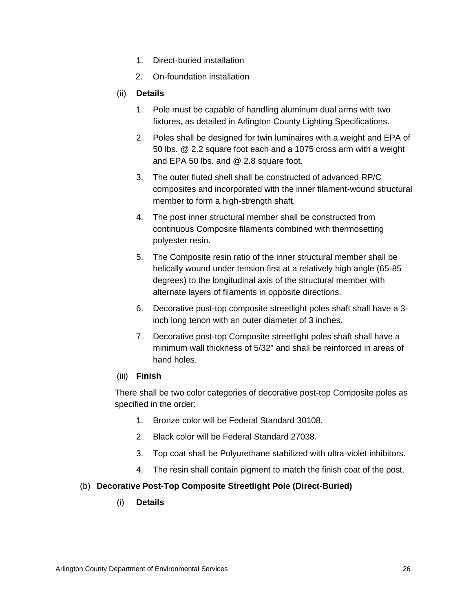- 1. Direct-buried installation
- 2. On-foundation installation

#### (ii) **Details**

- 1. Pole must be capable of handling aluminum dual arms with two fixtures, as detailed in Arlington County Lighting Specifications.
- 2. Poles shall be designed for twin luminaires with a weight and EPA of 50 lbs. @ 2.2 square foot each and a 1075 cross arm with a weight and EPA 50 lbs. and @ 2.8 square foot.
- 3. The outer fluted shell shall be constructed of advanced RP/C composites and incorporated with the inner filament-wound structural member to form a high-strength shaft.
- 4. The post inner structural member shall be constructed from continuous Composite filaments combined with thermosetting polyester resin.
- 5. The Composite resin ratio of the inner structural member shall be helically wound under tension first at a relatively high angle (65-85 degrees) to the longitudinal axis of the structural member with alternate layers of filaments in opposite directions.
- 6. Decorative post-top composite streetlight poles shaft shall have a 3 inch long tenon with an outer diameter of 3 inches.
- 7. Decorative post-top Composite streetlight poles shaft shall have a minimum wall thickness of 5/32" and shall be reinforced in areas of hand holes.

#### (iii) **Finish**

There shall be two color categories of decorative post-top Composite poles as specified in the order:

- 1. Bronze color will be Federal Standard 30108.
- 2. Black color will be Federal Standard 27038.
- 3. Top coat shall be Polyurethane stabilized with ultra-violet inhibitors.
- 4. The resin shall contain pigment to match the finish coat of the post.

#### (b) **Decorative Post-Top Composite Streetlight Pole (Direct-Buried)**

(i) **Details**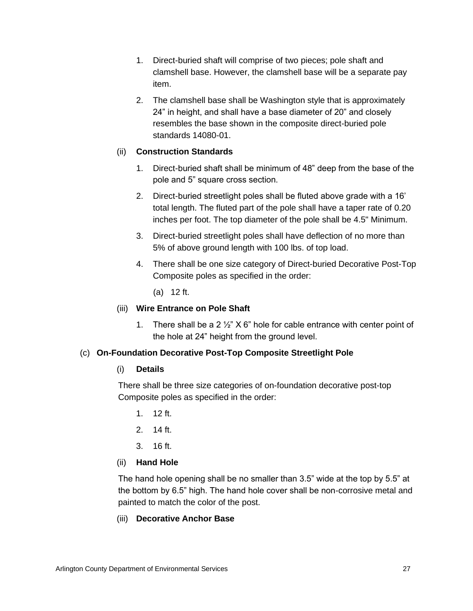- 1. Direct-buried shaft will comprise of two pieces; pole shaft and clamshell base. However, the clamshell base will be a separate pay item.
- 2. The clamshell base shall be Washington style that is approximately 24" in height, and shall have a base diameter of 20" and closely resembles the base shown in the composite direct-buried pole standards 14080-01.

## (ii) **Construction Standards**

- 1. Direct-buried shaft shall be minimum of 48" deep from the base of the pole and 5" square cross section.
- 2. Direct-buried streetlight poles shall be fluted above grade with a 16' total length. The fluted part of the pole shall have a taper rate of 0.20 inches per foot. The top diameter of the pole shall be 4.5" Minimum.
- 3. Direct-buried streetlight poles shall have deflection of no more than 5% of above ground length with 100 lbs. of top load.
- 4. There shall be one size category of Direct-buried Decorative Post-Top Composite poles as specified in the order:

(a) 12 ft.

#### (iii) **Wire Entrance on Pole Shaft**

1. There shall be a 2  $\frac{1}{2}$ " X 6" hole for cable entrance with center point of the hole at 24" height from the ground level.

#### (c) **On-Foundation Decorative Post-Top Composite Streetlight Pole**

#### (i) **Details**

There shall be three size categories of on-foundation decorative post-top Composite poles as specified in the order:

- 1. 12 ft.
- 2. 14 ft.
- 3. 16 ft.

## (ii) **Hand Hole**

The hand hole opening shall be no smaller than 3.5" wide at the top by 5.5" at the bottom by 6.5" high. The hand hole cover shall be non-corrosive metal and painted to match the color of the post.

#### (iii) **Decorative Anchor Base**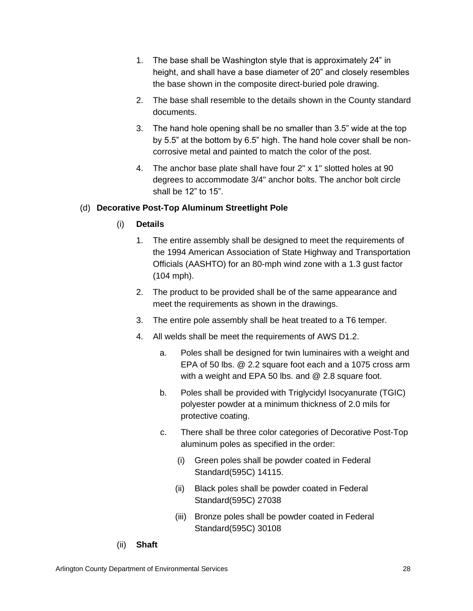- 1. The base shall be Washington style that is approximately 24" in height, and shall have a base diameter of 20" and closely resembles the base shown in the composite direct-buried pole drawing.
- 2. The base shall resemble to the details shown in the County standard documents.
- 3. The hand hole opening shall be no smaller than 3.5" wide at the top by 5.5" at the bottom by 6.5" high. The hand hole cover shall be noncorrosive metal and painted to match the color of the post.
- 4. The anchor base plate shall have four 2" x 1" slotted holes at 90 degrees to accommodate 3/4" anchor bolts. The anchor bolt circle shall be 12" to 15".

## (d) **Decorative Post-Top Aluminum Streetlight Pole**

## (i) **Details**

- 1. The entire assembly shall be designed to meet the requirements of the 1994 American Association of State Highway and Transportation Officials (AASHTO) for an 80-mph wind zone with a 1.3 gust factor (104 mph).
- 2. The product to be provided shall be of the same appearance and meet the requirements as shown in the drawings.
- 3. The entire pole assembly shall be heat treated to a T6 temper.
- 4. All welds shall be meet the requirements of AWS D1.2.
	- a. Poles shall be designed for twin luminaires with a weight and EPA of 50 lbs. @ 2.2 square foot each and a 1075 cross arm with a weight and EPA 50 lbs. and @ 2.8 square foot.
	- b. Poles shall be provided with Triglycidyl Isocyanurate (TGIC) polyester powder at a minimum thickness of 2.0 mils for protective coating.
	- c. There shall be three color categories of Decorative Post-Top aluminum poles as specified in the order:
		- (i) Green poles shall be powder coated in Federal Standard(595C) 14115.
		- (ii) Black poles shall be powder coated in Federal Standard(595C) 27038
		- (iii) Bronze poles shall be powder coated in Federal Standard(595C) 30108
- (ii) **Shaft**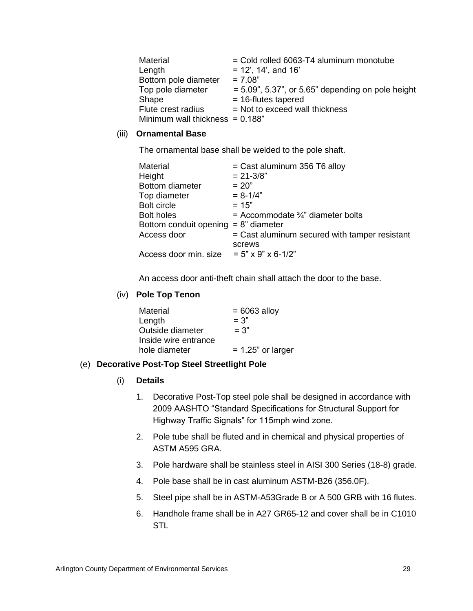| Material                           | $=$ Cold rolled 6063-T4 aluminum monotube            |
|------------------------------------|------------------------------------------------------|
| Length                             | $= 12'$ , 14', and 16'                               |
| Bottom pole diameter               | $= 7.08"$                                            |
| Top pole diameter                  | $= 5.09$ ", 5.37", or 5.65" depending on pole height |
| Shape                              | $= 16$ -flutes tapered                               |
| Flute crest radius                 | $=$ Not to exceed wall thickness                     |
| Minimum wall thickness $= 0.188$ " |                                                      |

#### (iii) **Ornamental Base**

The ornamental base shall be welded to the pole shaft.

| Material                                | $=$ Cast aluminum 356 T6 alloy                |
|-----------------------------------------|-----------------------------------------------|
| Height                                  | $= 21 - 3/8"$                                 |
| Bottom diameter                         | $= 20"$                                       |
| Top diameter                            | $= 8 - 1/4"$                                  |
| <b>Bolt circle</b>                      | $= 15"$                                       |
| <b>Bolt holes</b>                       | = Accommodate $\frac{3}{4}$ " diameter bolts  |
| Bottom conduit opening $= 8$ " diameter |                                               |
| Access door                             | = Cast aluminum secured with tamper resistant |
|                                         | screws                                        |
| Access door min. size                   | $= 5" \times 9" \times 6 - 1/2"$              |

An access door anti-theft chain shall attach the door to the base.

## (iv) **Pole Top Tenon**

| Material             | $= 6063$ alloy       |
|----------------------|----------------------|
| Length               | $= 3"$               |
| Outside diameter     | $= 3"$               |
| Inside wire entrance |                      |
| hole diameter        | $= 1.25$ " or larger |
|                      |                      |

#### (e) **Decorative Post-Top Steel Streetlight Pole**

## (i) **Details**

- 1. Decorative Post-Top steel pole shall be designed in accordance with 2009 AASHTO "Standard Specifications for Structural Support for Highway Traffic Signals" for 115mph wind zone.
- 2. Pole tube shall be fluted and in chemical and physical properties of ASTM A595 GRA.
- 3. Pole hardware shall be stainless steel in AISI 300 Series (18-8) grade.
- 4. Pole base shall be in cast aluminum ASTM-B26 (356.0F).
- 5. Steel pipe shall be in ASTM-A53Grade B or A 500 GRB with 16 flutes.
- 6. Handhole frame shall be in A27 GR65-12 and cover shall be in C1010 STL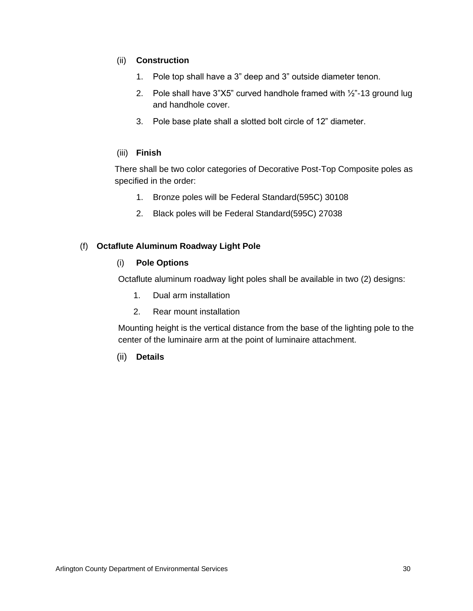## (ii) **Construction**

- 1. Pole top shall have a 3" deep and 3" outside diameter tenon.
- 2. Pole shall have 3"X5" curved handhole framed with ½"-13 ground lug and handhole cover.
- 3. Pole base plate shall a slotted bolt circle of 12" diameter.

## (iii) **Finish**

There shall be two color categories of Decorative Post-Top Composite poles as specified in the order:

- 1. Bronze poles will be Federal Standard(595C) 30108
- 2. Black poles will be Federal Standard(595C) 27038

## (f) **Octaflute Aluminum Roadway Light Pole**

## (i) **Pole Options**

Octaflute aluminum roadway light poles shall be available in two (2) designs:

- 1. Dual arm installation
- 2. Rear mount installation

Mounting height is the vertical distance from the base of the lighting pole to the center of the luminaire arm at the point of luminaire attachment.

## (ii) **Details**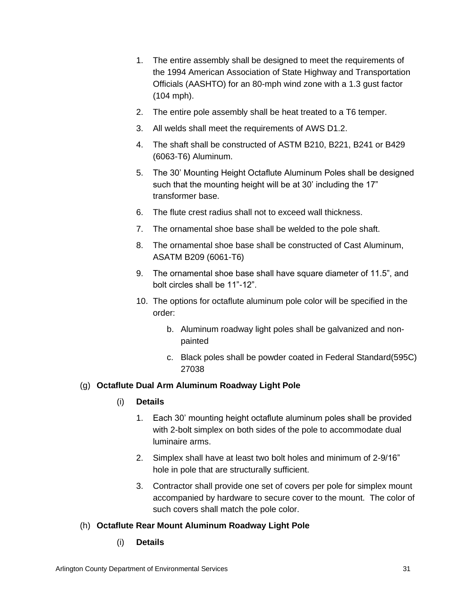- 1. The entire assembly shall be designed to meet the requirements of the 1994 American Association of State Highway and Transportation Officials (AASHTO) for an 80-mph wind zone with a 1.3 gust factor (104 mph).
- 2. The entire pole assembly shall be heat treated to a T6 temper.
- 3. All welds shall meet the requirements of AWS D1.2.
- 4. The shaft shall be constructed of ASTM B210, B221, B241 or B429 (6063-T6) Aluminum.
- 5. The 30' Mounting Height Octaflute Aluminum Poles shall be designed such that the mounting height will be at 30' including the 17" transformer base.
- 6. The flute crest radius shall not to exceed wall thickness.
- 7. The ornamental shoe base shall be welded to the pole shaft.
- 8. The ornamental shoe base shall be constructed of Cast Aluminum, ASATM B209 (6061-T6)
- 9. The ornamental shoe base shall have square diameter of 11.5", and bolt circles shall be 11"-12".
- 10. The options for octaflute aluminum pole color will be specified in the order:
	- b. Aluminum roadway light poles shall be galvanized and nonpainted
	- c. Black poles shall be powder coated in Federal Standard(595C) 27038

# (g) **Octaflute Dual Arm Aluminum Roadway Light Pole**

# (i) **Details**

- 1. Each 30' mounting height octaflute aluminum poles shall be provided with 2-bolt simplex on both sides of the pole to accommodate dual luminaire arms.
- 2. Simplex shall have at least two bolt holes and minimum of 2-9/16" hole in pole that are structurally sufficient.
- 3. Contractor shall provide one set of covers per pole for simplex mount accompanied by hardware to secure cover to the mount. The color of such covers shall match the pole color.

# (h) **Octaflute Rear Mount Aluminum Roadway Light Pole**

(i) **Details**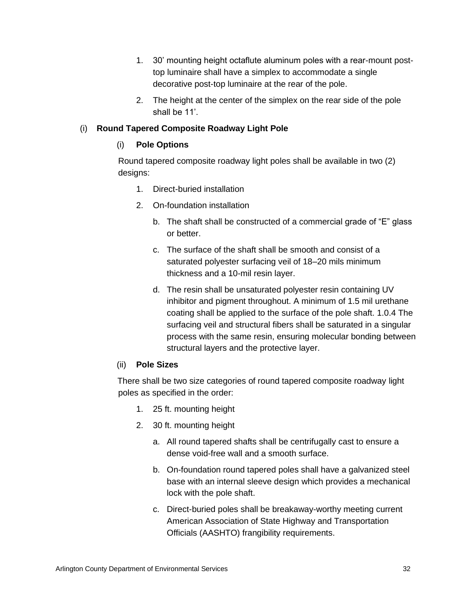- 1. 30' mounting height octaflute aluminum poles with a rear-mount posttop luminaire shall have a simplex to accommodate a single decorative post-top luminaire at the rear of the pole.
- 2. The height at the center of the simplex on the rear side of the pole shall be 11'.

# (i) **Round Tapered Composite Roadway Light Pole**

# (i) **Pole Options**

Round tapered composite roadway light poles shall be available in two (2) designs:

- 1. Direct-buried installation
- 2. On-foundation installation
	- b. The shaft shall be constructed of a commercial grade of "E" glass or better.
	- c. The surface of the shaft shall be smooth and consist of a saturated polyester surfacing veil of 18–20 mils minimum thickness and a 10-mil resin layer.
	- d. The resin shall be unsaturated polyester resin containing UV inhibitor and pigment throughout. A minimum of 1.5 mil urethane coating shall be applied to the surface of the pole shaft. 1.0.4 The surfacing veil and structural fibers shall be saturated in a singular process with the same resin, ensuring molecular bonding between structural layers and the protective layer.

# (ii) **Pole Sizes**

There shall be two size categories of round tapered composite roadway light poles as specified in the order:

- 1. 25 ft. mounting height
- 2. 30 ft. mounting height
	- a. All round tapered shafts shall be centrifugally cast to ensure a dense void-free wall and a smooth surface.
	- b. On-foundation round tapered poles shall have a galvanized steel base with an internal sleeve design which provides a mechanical lock with the pole shaft.
	- c. Direct-buried poles shall be breakaway-worthy meeting current American Association of State Highway and Transportation Officials (AASHTO) frangibility requirements.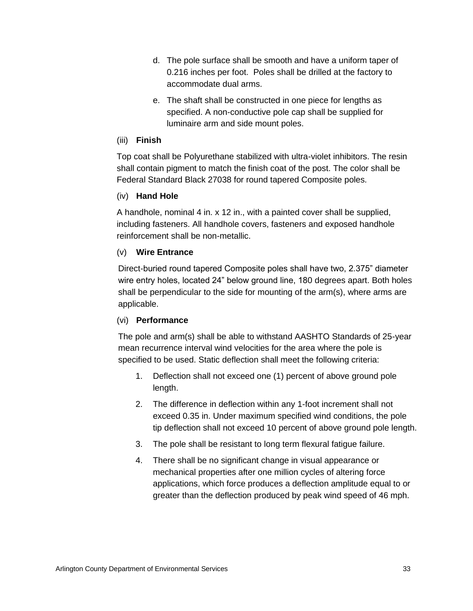- d. The pole surface shall be smooth and have a uniform taper of 0.216 inches per foot. Poles shall be drilled at the factory to accommodate dual arms.
- e. The shaft shall be constructed in one piece for lengths as specified. A non-conductive pole cap shall be supplied for luminaire arm and side mount poles.

# (iii) **Finish**

Top coat shall be Polyurethane stabilized with ultra-violet inhibitors. The resin shall contain pigment to match the finish coat of the post. The color shall be Federal Standard Black 27038 for round tapered Composite poles.

# (iv) **Hand Hole**

A handhole, nominal 4 in. x 12 in., with a painted cover shall be supplied, including fasteners. All handhole covers, fasteners and exposed handhole reinforcement shall be non-metallic.

# (v) **Wire Entrance**

Direct-buried round tapered Composite poles shall have two, 2.375" diameter wire entry holes, located 24" below ground line, 180 degrees apart. Both holes shall be perpendicular to the side for mounting of the arm(s), where arms are applicable.

# (vi) **Performance**

The pole and arm(s) shall be able to withstand AASHTO Standards of 25-year mean recurrence interval wind velocities for the area where the pole is specified to be used. Static deflection shall meet the following criteria:

- 1. Deflection shall not exceed one (1) percent of above ground pole length.
- 2. The difference in deflection within any 1-foot increment shall not exceed 0.35 in. Under maximum specified wind conditions, the pole tip deflection shall not exceed 10 percent of above ground pole length.
- 3. The pole shall be resistant to long term flexural fatigue failure.
- 4. There shall be no significant change in visual appearance or mechanical properties after one million cycles of altering force applications, which force produces a deflection amplitude equal to or greater than the deflection produced by peak wind speed of 46 mph.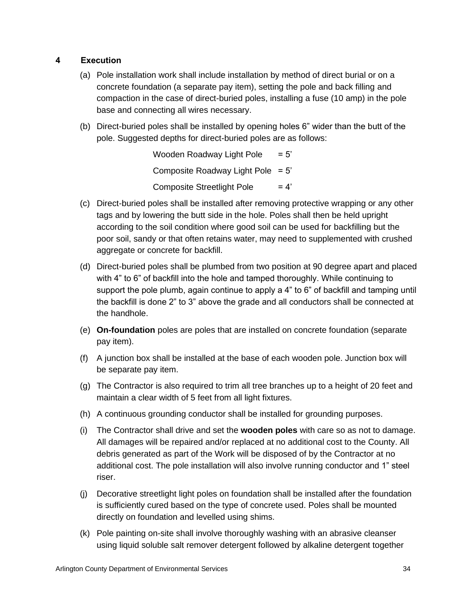# **4 Execution**

- (a) Pole installation work shall include installation by method of direct burial or on a concrete foundation (a separate pay item), setting the pole and back filling and compaction in the case of direct-buried poles, installing a fuse (10 amp) in the pole base and connecting all wires necessary.
- (b) Direct-buried poles shall be installed by opening holes 6" wider than the butt of the pole. Suggested depths for direct-buried poles are as follows:

Wooden Roadway Light Pole  $= 5'$ Composite Roadway Light Pole  $= 5'$ Composite Streetlight Pole  $= 4'$ 

- (c) Direct-buried poles shall be installed after removing protective wrapping or any other tags and by lowering the butt side in the hole. Poles shall then be held upright according to the soil condition where good soil can be used for backfilling but the poor soil, sandy or that often retains water, may need to supplemented with crushed aggregate or concrete for backfill.
- (d) Direct-buried poles shall be plumbed from two position at 90 degree apart and placed with 4" to 6" of backfill into the hole and tamped thoroughly. While continuing to support the pole plumb, again continue to apply a 4" to 6" of backfill and tamping until the backfill is done 2" to 3" above the grade and all conductors shall be connected at the handhole.
- (e) **On-foundation** poles are poles that are installed on concrete foundation (separate pay item).
- (f) A junction box shall be installed at the base of each wooden pole. Junction box will be separate pay item.
- (g) The Contractor is also required to trim all tree branches up to a height of 20 feet and maintain a clear width of 5 feet from all light fixtures.
- (h) A continuous grounding conductor shall be installed for grounding purposes.
- (i) The Contractor shall drive and set the **wooden poles** with care so as not to damage. All damages will be repaired and/or replaced at no additional cost to the County. All debris generated as part of the Work will be disposed of by the Contractor at no additional cost. The pole installation will also involve running conductor and 1" steel riser.
- (j) Decorative streetlight light poles on foundation shall be installed after the foundation is sufficiently cured based on the type of concrete used. Poles shall be mounted directly on foundation and levelled using shims.
- (k) Pole painting on-site shall involve thoroughly washing with an abrasive cleanser using liquid soluble salt remover detergent followed by alkaline detergent together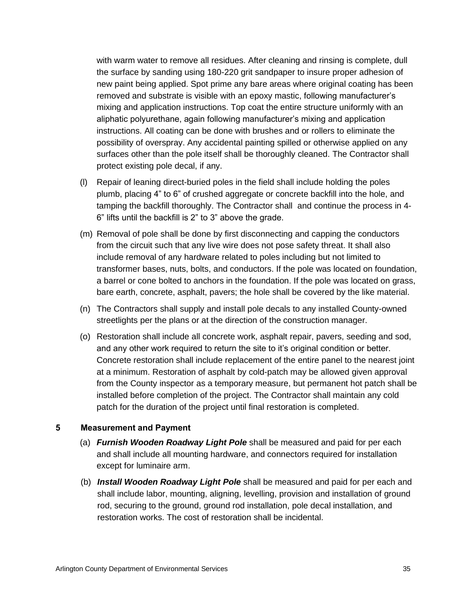with warm water to remove all residues. After cleaning and rinsing is complete, dull the surface by sanding using 180-220 grit sandpaper to insure proper adhesion of new paint being applied. Spot prime any bare areas where original coating has been removed and substrate is visible with an epoxy mastic, following manufacturer's mixing and application instructions. Top coat the entire structure uniformly with an aliphatic polyurethane, again following manufacturer's mixing and application instructions. All coating can be done with brushes and or rollers to eliminate the possibility of overspray. Any accidental painting spilled or otherwise applied on any surfaces other than the pole itself shall be thoroughly cleaned. The Contractor shall protect existing pole decal, if any.

- (l) Repair of leaning direct-buried poles in the field shall include holding the poles plumb, placing 4" to 6" of crushed aggregate or concrete backfill into the hole, and tamping the backfill thoroughly. The Contractor shall and continue the process in 4- 6" lifts until the backfill is 2" to 3" above the grade.
- (m) Removal of pole shall be done by first disconnecting and capping the conductors from the circuit such that any live wire does not pose safety threat. It shall also include removal of any hardware related to poles including but not limited to transformer bases, nuts, bolts, and conductors. If the pole was located on foundation, a barrel or cone bolted to anchors in the foundation. If the pole was located on grass, bare earth, concrete, asphalt, pavers; the hole shall be covered by the like material.
- (n) The Contractors shall supply and install pole decals to any installed County-owned streetlights per the plans or at the direction of the construction manager.
- (o) Restoration shall include all concrete work, asphalt repair, pavers, seeding and sod, and any other work required to return the site to it's original condition or better. Concrete restoration shall include replacement of the entire panel to the nearest joint at a minimum. Restoration of asphalt by cold-patch may be allowed given approval from the County inspector as a temporary measure, but permanent hot patch shall be installed before completion of the project. The Contractor shall maintain any cold patch for the duration of the project until final restoration is completed.

- (a) *Furnish Wooden Roadway Light Pole* shall be measured and paid for per each and shall include all mounting hardware, and connectors required for installation except for luminaire arm.
- (b) *Install Wooden Roadway Light Pole* shall be measured and paid for per each and shall include labor, mounting, aligning, levelling, provision and installation of ground rod, securing to the ground, ground rod installation, pole decal installation, and restoration works. The cost of restoration shall be incidental.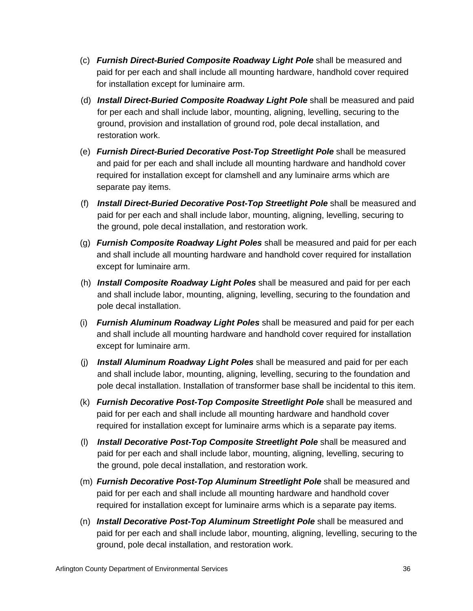- (c) *Furnish Direct-Buried Composite Roadway Light Pole* shall be measured and paid for per each and shall include all mounting hardware, handhold cover required for installation except for luminaire arm.
- (d) *Install Direct-Buried Composite Roadway Light Pole* shall be measured and paid for per each and shall include labor, mounting, aligning, levelling, securing to the ground, provision and installation of ground rod, pole decal installation, and restoration work.
- (e) *Furnish Direct-Buried Decorative Post-Top Streetlight Pole* shall be measured and paid for per each and shall include all mounting hardware and handhold cover required for installation except for clamshell and any luminaire arms which are separate pay items.
- (f) *Install Direct-Buried Decorative Post-Top Streetlight Pole* shall be measured and paid for per each and shall include labor, mounting, aligning, levelling, securing to the ground, pole decal installation, and restoration work.
- (g) *Furnish Composite Roadway Light Poles* shall be measured and paid for per each and shall include all mounting hardware and handhold cover required for installation except for luminaire arm.
- (h) *Install Composite Roadway Light Poles* shall be measured and paid for per each and shall include labor, mounting, aligning, levelling, securing to the foundation and pole decal installation.
- (i) *Furnish Aluminum Roadway Light Poles* shall be measured and paid for per each and shall include all mounting hardware and handhold cover required for installation except for luminaire arm.
- (j) *Install Aluminum Roadway Light Poles* shall be measured and paid for per each and shall include labor, mounting, aligning, levelling, securing to the foundation and pole decal installation. Installation of transformer base shall be incidental to this item.
- (k) *Furnish Decorative Post-Top Composite Streetlight Pole* shall be measured and paid for per each and shall include all mounting hardware and handhold cover required for installation except for luminaire arms which is a separate pay items.
- (l) *Install Decorative Post-Top Composite Streetlight Pole* shall be measured and paid for per each and shall include labor, mounting, aligning, levelling, securing to the ground, pole decal installation, and restoration work.
- (m) *Furnish Decorative Post-Top Aluminum Streetlight Pole* shall be measured and paid for per each and shall include all mounting hardware and handhold cover required for installation except for luminaire arms which is a separate pay items.
- (n) *Install Decorative Post-Top Aluminum Streetlight Pole* shall be measured and paid for per each and shall include labor, mounting, aligning, levelling, securing to the ground, pole decal installation, and restoration work.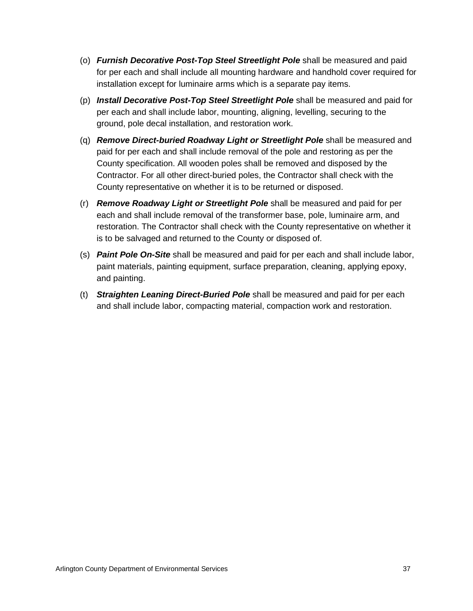- (o) *Furnish Decorative Post-Top Steel Streetlight Pole* shall be measured and paid for per each and shall include all mounting hardware and handhold cover required for installation except for luminaire arms which is a separate pay items.
- (p) *Install Decorative Post-Top Steel Streetlight Pole* shall be measured and paid for per each and shall include labor, mounting, aligning, levelling, securing to the ground, pole decal installation, and restoration work.
- (q) *Remove Direct-buried Roadway Light or Streetlight Pole* shall be measured and paid for per each and shall include removal of the pole and restoring as per the County specification. All wooden poles shall be removed and disposed by the Contractor. For all other direct-buried poles, the Contractor shall check with the County representative on whether it is to be returned or disposed.
- (r) *Remove Roadway Light or Streetlight Pole* shall be measured and paid for per each and shall include removal of the transformer base, pole, luminaire arm, and restoration. The Contractor shall check with the County representative on whether it is to be salvaged and returned to the County or disposed of.
- (s) *Paint Pole On-Site* shall be measured and paid for per each and shall include labor, paint materials, painting equipment, surface preparation, cleaning, applying epoxy, and painting.
- (t) *Straighten Leaning Direct-Buried Pole* shall be measured and paid for per each and shall include labor, compacting material, compaction work and restoration.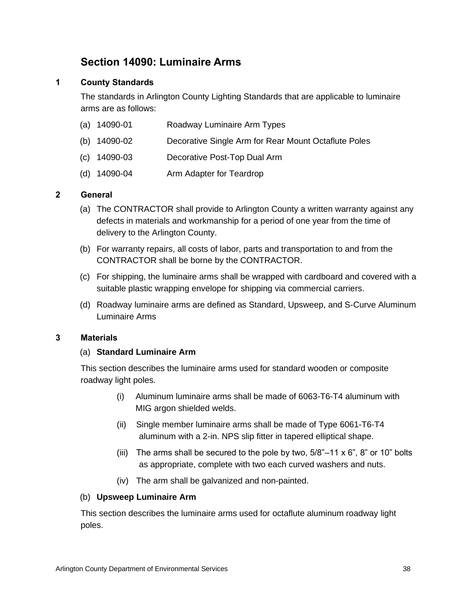# **Section 14090: Luminaire Arms**

# **1 County Standards**

The standards in Arlington County Lighting Standards that are applicable to luminaire arms are as follows:

|  | (a) 14090-01 |  | Roadway Luminaire Arm Types |  |
|--|--------------|--|-----------------------------|--|
|--|--------------|--|-----------------------------|--|

- (b) 14090-02 Decorative Single Arm for Rear Mount Octaflute Poles
- (c) 14090-03 Decorative Post-Top Dual Arm
- (d) 14090-04 Arm Adapter for Teardrop

# **2 General**

- (a) The CONTRACTOR shall provide to Arlington County a written warranty against any defects in materials and workmanship for a period of one year from the time of delivery to the Arlington County.
- (b) For warranty repairs, all costs of labor, parts and transportation to and from the CONTRACTOR shall be borne by the CONTRACTOR.
- (c) For shipping, the luminaire arms shall be wrapped with cardboard and covered with a suitable plastic wrapping envelope for shipping via commercial carriers.
- (d) Roadway luminaire arms are defined as Standard, Upsweep, and S-Curve Aluminum Luminaire Arms

# **3 Materials**

# (a) **Standard Luminaire Arm**

This section describes the luminaire arms used for standard wooden or composite roadway light poles.

- (i) Aluminum luminaire arms shall be made of 6063-T6-T4 aluminum with MIG argon shielded welds.
- (ii) Single member luminaire arms shall be made of Type 6061-T6-T4 aluminum with a 2-in. NPS slip fitter in tapered elliptical shape.
- (iii) The arms shall be secured to the pole by two,  $5/8$ "–11 x 6", 8" or 10" bolts as appropriate, complete with two each curved washers and nuts.
- (iv) The arm shall be galvanized and non-painted.

# (b) **Upsweep Luminaire Arm**

This section describes the luminaire arms used for octaflute aluminum roadway light poles.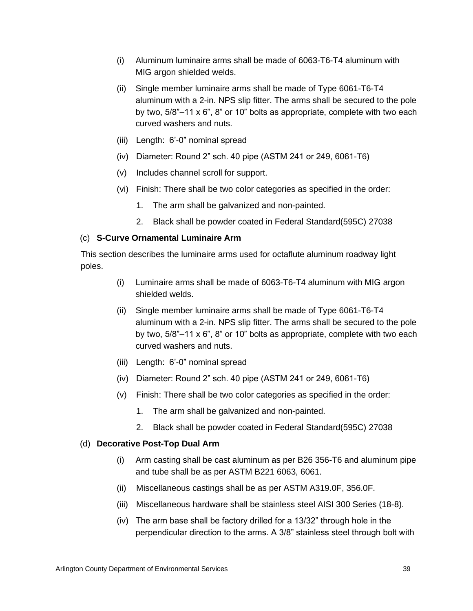- (i) Aluminum luminaire arms shall be made of 6063-T6-T4 aluminum with MIG argon shielded welds.
- (ii) Single member luminaire arms shall be made of Type 6061-T6-T4 aluminum with a 2-in. NPS slip fitter. The arms shall be secured to the pole by two, 5/8"–11 x 6", 8" or 10" bolts as appropriate, complete with two each curved washers and nuts.
- (iii) Length: 6'-0" nominal spread
- (iv) Diameter: Round 2" sch. 40 pipe (ASTM 241 or 249, 6061-T6)
- (v) Includes channel scroll for support.
- (vi) Finish: There shall be two color categories as specified in the order:
	- 1. The arm shall be galvanized and non-painted.
	- 2. Black shall be powder coated in Federal Standard(595C) 27038

# (c) **S-Curve Ornamental Luminaire Arm**

This section describes the luminaire arms used for octaflute aluminum roadway light poles.

- (i) Luminaire arms shall be made of 6063-T6-T4 aluminum with MIG argon shielded welds.
- (ii) Single member luminaire arms shall be made of Type 6061-T6-T4 aluminum with a 2-in. NPS slip fitter. The arms shall be secured to the pole by two, 5/8"–11 x 6", 8" or 10" bolts as appropriate, complete with two each curved washers and nuts.
- (iii) Length: 6'-0" nominal spread
- (iv) Diameter: Round 2" sch. 40 pipe (ASTM 241 or 249, 6061-T6)
- (v) Finish: There shall be two color categories as specified in the order:
	- 1. The arm shall be galvanized and non-painted.
	- 2. Black shall be powder coated in Federal Standard(595C) 27038

# (d) **Decorative Post-Top Dual Arm**

- (i) Arm casting shall be cast aluminum as per B26 356-T6 and aluminum pipe and tube shall be as per ASTM B221 6063, 6061.
- (ii) Miscellaneous castings shall be as per ASTM A319.0F, 356.0F.
- (iii) Miscellaneous hardware shall be stainless steel AISI 300 Series (18-8).
- (iv) The arm base shall be factory drilled for a 13/32" through hole in the perpendicular direction to the arms. A 3/8" stainless steel through bolt with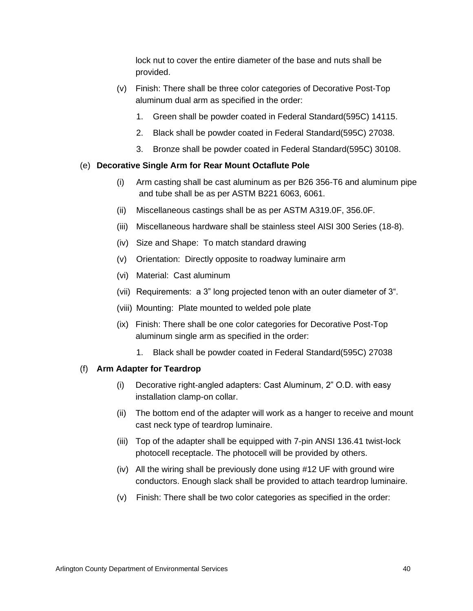lock nut to cover the entire diameter of the base and nuts shall be provided.

- (v) Finish: There shall be three color categories of Decorative Post-Top aluminum dual arm as specified in the order:
	- 1. Green shall be powder coated in Federal Standard(595C) 14115.
	- 2. Black shall be powder coated in Federal Standard(595C) 27038.
	- 3. Bronze shall be powder coated in Federal Standard(595C) 30108.

# (e) **Decorative Single Arm for Rear Mount Octaflute Pole**

- (i) Arm casting shall be cast aluminum as per B26 356-T6 and aluminum pipe and tube shall be as per ASTM B221 6063, 6061.
- (ii) Miscellaneous castings shall be as per ASTM A319.0F, 356.0F.
- (iii) Miscellaneous hardware shall be stainless steel AISI 300 Series (18-8).
- (iv) Size and Shape: To match standard drawing
- (v) Orientation: Directly opposite to roadway luminaire arm
- (vi) Material: Cast aluminum
- (vii) Requirements: a 3" long projected tenon with an outer diameter of 3".
- (viii) Mounting: Plate mounted to welded pole plate
- (ix) Finish: There shall be one color categories for Decorative Post-Top aluminum single arm as specified in the order:
	- 1. Black shall be powder coated in Federal Standard(595C) 27038

# (f) **Arm Adapter for Teardrop**

- (i) Decorative right-angled adapters: Cast Aluminum, 2" O.D. with easy installation clamp-on collar.
- (ii) The bottom end of the adapter will work as a hanger to receive and mount cast neck type of teardrop luminaire.
- (iii) Top of the adapter shall be equipped with 7-pin ANSI 136.41 twist-lock photocell receptacle. The photocell will be provided by others.
- (iv) All the wiring shall be previously done using #12 UF with ground wire conductors. Enough slack shall be provided to attach teardrop luminaire.
- (v) Finish: There shall be two color categories as specified in the order: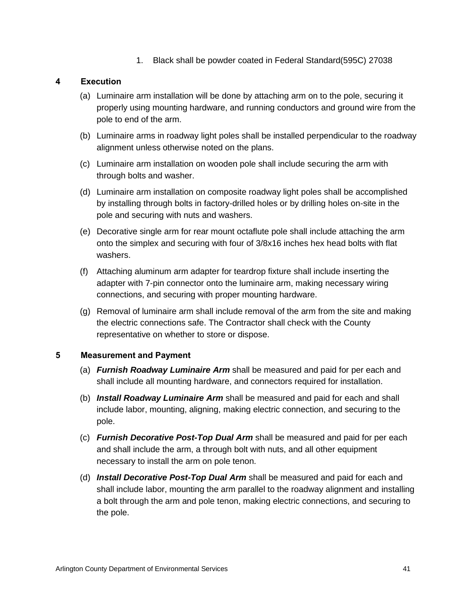1. Black shall be powder coated in Federal Standard(595C) 27038

# **4 Execution**

- (a) Luminaire arm installation will be done by attaching arm on to the pole, securing it properly using mounting hardware, and running conductors and ground wire from the pole to end of the arm.
- (b) Luminaire arms in roadway light poles shall be installed perpendicular to the roadway alignment unless otherwise noted on the plans.
- (c) Luminaire arm installation on wooden pole shall include securing the arm with through bolts and washer.
- (d) Luminaire arm installation on composite roadway light poles shall be accomplished by installing through bolts in factory-drilled holes or by drilling holes on-site in the pole and securing with nuts and washers.
- (e) Decorative single arm for rear mount octaflute pole shall include attaching the arm onto the simplex and securing with four of 3/8x16 inches hex head bolts with flat washers.
- (f) Attaching aluminum arm adapter for teardrop fixture shall include inserting the adapter with 7-pin connector onto the luminaire arm, making necessary wiring connections, and securing with proper mounting hardware.
- (g) Removal of luminaire arm shall include removal of the arm from the site and making the electric connections safe. The Contractor shall check with the County representative on whether to store or dispose.

- (a) *Furnish Roadway Luminaire Arm* shall be measured and paid for per each and shall include all mounting hardware, and connectors required for installation.
- (b) *Install Roadway Luminaire Arm* shall be measured and paid for each and shall include labor, mounting, aligning, making electric connection, and securing to the pole.
- (c) *Furnish Decorative Post-Top Dual Arm* shall be measured and paid for per each and shall include the arm, a through bolt with nuts, and all other equipment necessary to install the arm on pole tenon.
- (d) *Install Decorative Post-Top Dual Arm* shall be measured and paid for each and shall include labor, mounting the arm parallel to the roadway alignment and installing a bolt through the arm and pole tenon, making electric connections, and securing to the pole.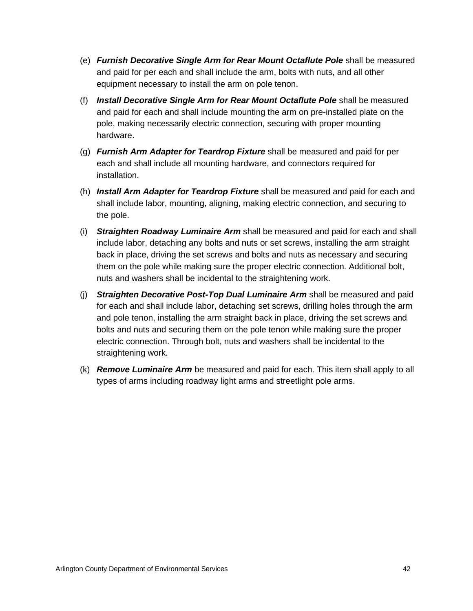- (e) *Furnish Decorative Single Arm for Rear Mount Octaflute Pole* shall be measured and paid for per each and shall include the arm, bolts with nuts, and all other equipment necessary to install the arm on pole tenon.
- (f) *Install Decorative Single Arm for Rear Mount Octaflute Pole* shall be measured and paid for each and shall include mounting the arm on pre-installed plate on the pole, making necessarily electric connection, securing with proper mounting hardware.
- (g) *Furnish Arm Adapter for Teardrop Fixture* shall be measured and paid for per each and shall include all mounting hardware, and connectors required for installation.
- (h) *Install Arm Adapter for Teardrop Fixture* shall be measured and paid for each and shall include labor, mounting, aligning, making electric connection, and securing to the pole.
- (i) *Straighten Roadway Luminaire Arm* shall be measured and paid for each and shall include labor, detaching any bolts and nuts or set screws, installing the arm straight back in place, driving the set screws and bolts and nuts as necessary and securing them on the pole while making sure the proper electric connection. Additional bolt, nuts and washers shall be incidental to the straightening work.
- (j) *Straighten Decorative Post-Top Dual Luminaire Arm* shall be measured and paid for each and shall include labor, detaching set screws, drilling holes through the arm and pole tenon, installing the arm straight back in place, driving the set screws and bolts and nuts and securing them on the pole tenon while making sure the proper electric connection. Through bolt, nuts and washers shall be incidental to the straightening work.
- (k) *Remove Luminaire Arm* be measured and paid for each. This item shall apply to all types of arms including roadway light arms and streetlight pole arms.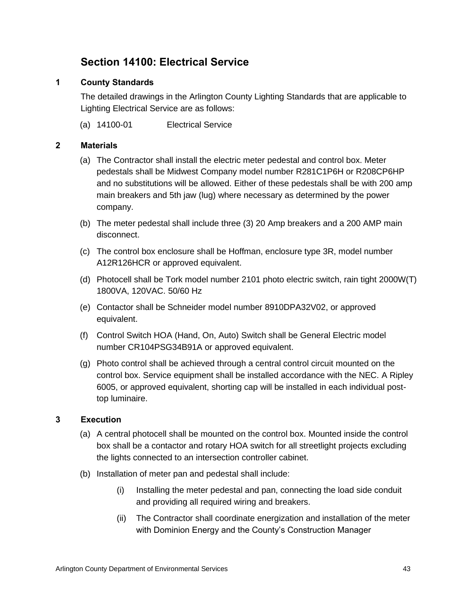# **Section 14100: Electrical Service**

# **1 County Standards**

The detailed drawings in the Arlington County Lighting Standards that are applicable to Lighting Electrical Service are as follows:

(a) 14100-01 Electrical Service

# **2 Materials**

- (a) The Contractor shall install the electric meter pedestal and control box. Meter pedestals shall be Midwest Company model number R281C1P6H or R208CP6HP and no substitutions will be allowed. Either of these pedestals shall be with 200 amp main breakers and 5th jaw (lug) where necessary as determined by the power company.
- (b) The meter pedestal shall include three (3) 20 Amp breakers and a 200 AMP main disconnect.
- (c) The control box enclosure shall be Hoffman, enclosure type 3R, model number A12R126HCR or approved equivalent.
- (d) Photocell shall be Tork model number 2101 photo electric switch, rain tight 2000W(T) 1800VA, 120VAC. 50/60 Hz
- (e) Contactor shall be Schneider model number 8910DPA32V02, or approved equivalent.
- (f) Control Switch HOA (Hand, On, Auto) Switch shall be General Electric model number CR104PSG34B91A or approved equivalent.
- (g) Photo control shall be achieved through a central control circuit mounted on the control box. Service equipment shall be installed accordance with the NEC. A Ripley 6005, or approved equivalent, shorting cap will be installed in each individual posttop luminaire.

# **3 Execution**

- (a) A central photocell shall be mounted on the control box. Mounted inside the control box shall be a contactor and rotary HOA switch for all streetlight projects excluding the lights connected to an intersection controller cabinet.
- (b) Installation of meter pan and pedestal shall include:
	- (i) Installing the meter pedestal and pan, connecting the load side conduit and providing all required wiring and breakers.
	- (ii) The Contractor shall coordinate energization and installation of the meter with Dominion Energy and the County's Construction Manager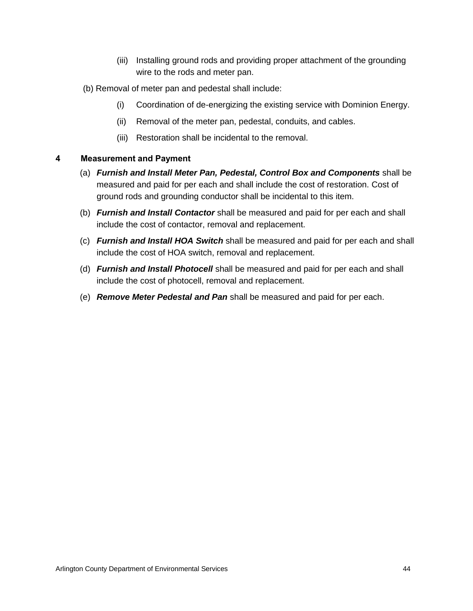- (iii) Installing ground rods and providing proper attachment of the grounding wire to the rods and meter pan.
- (b) Removal of meter pan and pedestal shall include:
	- (i) Coordination of de-energizing the existing service with Dominion Energy.
	- (ii) Removal of the meter pan, pedestal, conduits, and cables.
	- (iii) Restoration shall be incidental to the removal.

- (a) *Furnish and Install Meter Pan, Pedestal, Control Box and Components* shall be measured and paid for per each and shall include the cost of restoration. Cost of ground rods and grounding conductor shall be incidental to this item.
- (b) *Furnish and Install Contactor* shall be measured and paid for per each and shall include the cost of contactor, removal and replacement.
- (c) *Furnish and Install HOA Switch* shall be measured and paid for per each and shall include the cost of HOA switch, removal and replacement.
- (d) *Furnish and Install Photocell* shall be measured and paid for per each and shall include the cost of photocell, removal and replacement.
- (e) *Remove Meter Pedestal and Pan* shall be measured and paid for per each.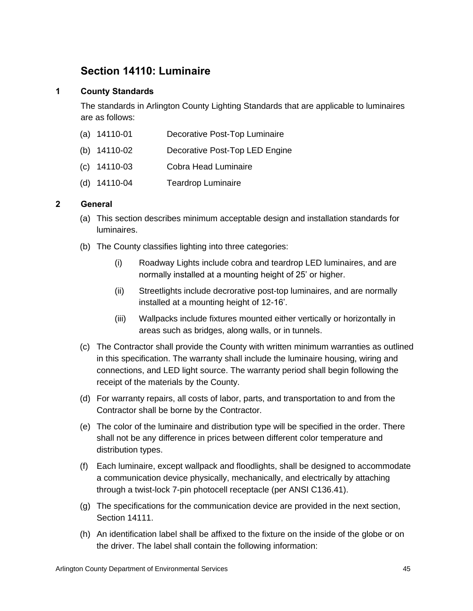# **Section 14110: Luminaire**

# **1 County Standards**

The standards in Arlington County Lighting Standards that are applicable to luminaires are as follows:

- (a) 14110-01 Decorative Post-Top Luminaire
- (b) 14110-02 Decorative Post-Top LED Engine
- (c) 14110-03 Cobra Head Luminaire
- (d) 14110-04 Teardrop Luminaire

# **2 General**

- (a) This section describes minimum acceptable design and installation standards for luminaires.
- (b) The County classifies lighting into three categories:
	- (i) Roadway Lights include cobra and teardrop LED luminaires, and are normally installed at a mounting height of 25' or higher.
	- (ii) Streetlights include decrorative post-top luminaires, and are normally installed at a mounting height of 12-16'.
	- (iii) Wallpacks include fixtures mounted either vertically or horizontally in areas such as bridges, along walls, or in tunnels.
- (c) The Contractor shall provide the County with written minimum warranties as outlined in this specification. The warranty shall include the luminaire housing, wiring and connections, and LED light source. The warranty period shall begin following the receipt of the materials by the County.
- (d) For warranty repairs, all costs of labor, parts, and transportation to and from the Contractor shall be borne by the Contractor.
- (e) The color of the luminaire and distribution type will be specified in the order. There shall not be any difference in prices between different color temperature and distribution types.
- (f) Each luminaire, except wallpack and floodlights, shall be designed to accommodate a communication device physically, mechanically, and electrically by attaching through a twist-lock 7-pin photocell receptacle (per ANSI C136.41).
- (g) The specifications for the communication device are provided in the next section, Section 14111.
- (h) An identification label shall be affixed to the fixture on the inside of the globe or on the driver. The label shall contain the following information: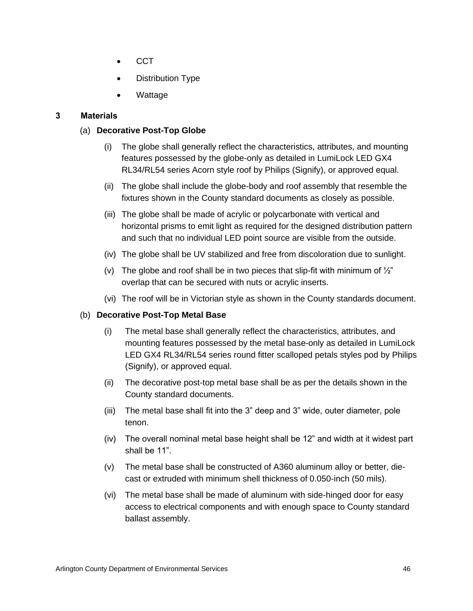- CCT
- Distribution Type
- Wattage

# **3 Materials**

# (a) **Decorative Post-Top Globe**

- (i) The globe shall generally reflect the characteristics, attributes, and mounting features possessed by the globe-only as detailed in LumiLock LED GX4 RL34/RL54 series Acorn style roof by Philips (Signify), or approved equal.
- (ii) The globe shall include the globe-body and roof assembly that resemble the fixtures shown in the County standard documents as closely as possible.
- (iii) The globe shall be made of acrylic or polycarbonate with vertical and horizontal prisms to emit light as required for the designed distribution pattern and such that no individual LED point source are visible from the outside.
- (iv) The globe shall be UV stabilized and free from discoloration due to sunlight.
- (v) The globe and roof shall be in two pieces that slip-fit with minimum of  $\frac{1}{2}$ " overlap that can be secured with nuts or acrylic inserts.
- (vi) The roof will be in Victorian style as shown in the County standards document.

# (b) **Decorative Post-Top Metal Base**

- (i) The metal base shall generally reflect the characteristics, attributes, and mounting features possessed by the metal base-only as detailed in LumiLock LED GX4 RL34/RL54 series round fitter scalloped petals styles pod by Philips (Signify), or approved equal.
- (ii) The decorative post-top metal base shall be as per the details shown in the County standard documents.
- (iii) The metal base shall fit into the 3" deep and 3" wide, outer diameter, pole tenon.
- (iv) The overall nominal metal base height shall be 12" and width at it widest part shall be 11".
- (v) The metal base shall be constructed of A360 aluminum alloy or better, diecast or extruded with minimum shell thickness of 0.050-inch (50 mils).
- (vi) The metal base shall be made of aluminum with side-hinged door for easy access to electrical components and with enough space to County standard ballast assembly.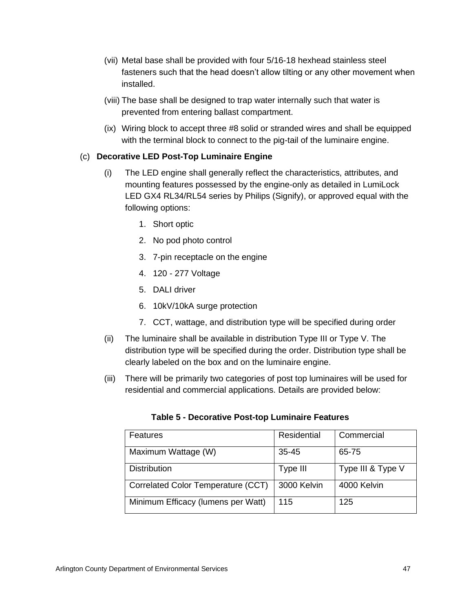- (vii) Metal base shall be provided with four 5/16-18 hexhead stainless steel fasteners such that the head doesn't allow tilting or any other movement when installed.
- (viii) The base shall be designed to trap water internally such that water is prevented from entering ballast compartment.
- (ix) Wiring block to accept three #8 solid or stranded wires and shall be equipped with the terminal block to connect to the pig-tail of the luminaire engine.

# (c) **Decorative LED Post-Top Luminaire Engine**

- (i) The LED engine shall generally reflect the characteristics, attributes, and mounting features possessed by the engine-only as detailed in LumiLock LED GX4 RL34/RL54 series by Philips (Signify), or approved equal with the following options:
	- 1. Short optic
	- 2. No pod photo control
	- 3. 7-pin receptacle on the engine
	- 4. 120 277 Voltage
	- 5. DALI driver
	- 6. 10kV/10kA surge protection
	- 7. CCT, wattage, and distribution type will be specified during order
- (ii) The luminaire shall be available in distribution Type III or Type V. The distribution type will be specified during the order. Distribution type shall be clearly labeled on the box and on the luminaire engine.
- (iii) There will be primarily two categories of post top luminaires will be used for residential and commercial applications. Details are provided below:

| Features                           | Residential | Commercial        |
|------------------------------------|-------------|-------------------|
| Maximum Wattage (W)                | $35 - 45$   | 65-75             |
| <b>Distribution</b>                | Type III    | Type III & Type V |
| Correlated Color Temperature (CCT) | 3000 Kelvin | 4000 Kelvin       |
| Minimum Efficacy (lumens per Watt) | 115         | 125               |

|  |  | Table 5 - Decorative Post-top Luminaire Features |
|--|--|--------------------------------------------------|
|--|--|--------------------------------------------------|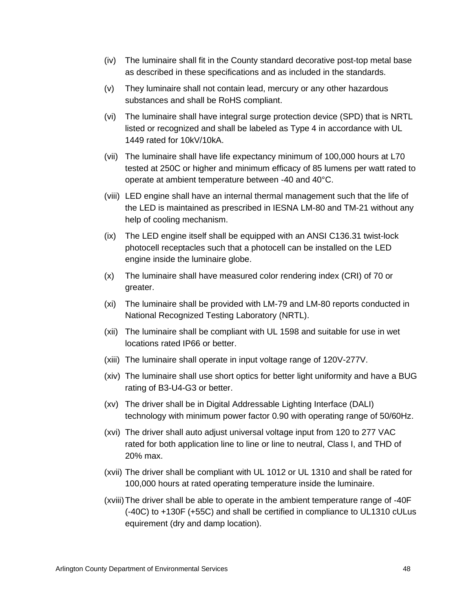- (iv) The luminaire shall fit in the County standard decorative post-top metal base as described in these specifications and as included in the standards.
- (v) They luminaire shall not contain lead, mercury or any other hazardous substances and shall be RoHS compliant.
- (vi) The luminaire shall have integral surge protection device (SPD) that is NRTL listed or recognized and shall be labeled as Type 4 in accordance with UL 1449 rated for 10kV/10kA.
- (vii) The luminaire shall have life expectancy minimum of 100,000 hours at L70 tested at 250C or higher and minimum efficacy of 85 lumens per watt rated to operate at ambient temperature between -40 and 40°C.
- (viii) LED engine shall have an internal thermal management such that the life of the LED is maintained as prescribed in IESNA LM-80 and TM-21 without any help of cooling mechanism.
- (ix) The LED engine itself shall be equipped with an ANSI C136.31 twist-lock photocell receptacles such that a photocell can be installed on the LED engine inside the luminaire globe.
- (x) The luminaire shall have measured color rendering index (CRI) of 70 or greater.
- (xi) The luminaire shall be provided with LM-79 and LM-80 reports conducted in National Recognized Testing Laboratory (NRTL).
- (xii) The luminaire shall be compliant with UL 1598 and suitable for use in wet locations rated IP66 or better.
- (xiii) The luminaire shall operate in input voltage range of 120V-277V.
- (xiv) The luminaire shall use short optics for better light uniformity and have a BUG rating of B3-U4-G3 or better.
- (xv) The driver shall be in Digital Addressable Lighting Interface (DALI) technology with minimum power factor 0.90 with operating range of 50/60Hz.
- (xvi) The driver shall auto adjust universal voltage input from 120 to 277 VAC rated for both application line to line or line to neutral, Class I, and THD of 20% max.
- (xvii) The driver shall be compliant with UL 1012 or UL 1310 and shall be rated for 100,000 hours at rated operating temperature inside the luminaire.
- (xviii)The driver shall be able to operate in the ambient temperature range of -40F (-40C) to +130F (+55C) and shall be certified in compliance to UL1310 cULus equirement (dry and damp location).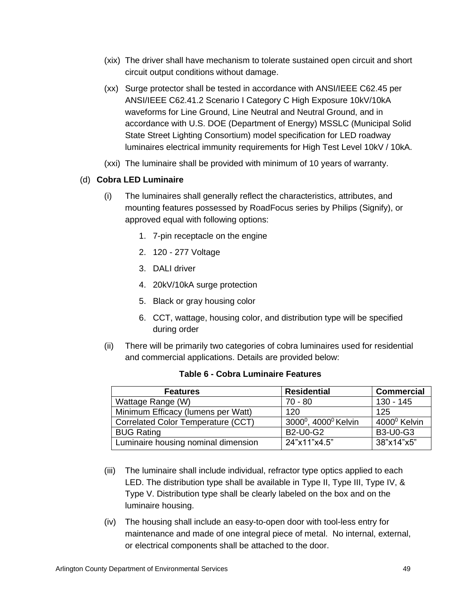- (xix) The driver shall have mechanism to tolerate sustained open circuit and short circuit output conditions without damage.
- (xx) Surge protector shall be tested in accordance with ANSI/IEEE C62.45 per ANSI/IEEE C62.41.2 Scenario I Category C High Exposure 10kV/10kA waveforms for Line Ground, Line Neutral and Neutral Ground, and in accordance with U.S. DOE (Department of Energy) MSSLC (Municipal Solid State Street Lighting Consortium) model specification for LED roadway luminaires electrical immunity requirements for High Test Level 10kV / 10kA.
- (xxi) The luminaire shall be provided with minimum of 10 years of warranty.

# (d) **Cobra LED Luminaire**

- (i) The luminaires shall generally reflect the characteristics, attributes, and mounting features possessed by RoadFocus series by Philips (Signify), or approved equal with following options:
	- 1. 7-pin receptacle on the engine
	- 2. 120 277 Voltage
	- 3. DALI driver
	- 4. 20kV/10kA surge protection
	- 5. Black or gray housing color
	- 6. CCT, wattage, housing color, and distribution type will be specified during order
- (ii) There will be primarily two categories of cobra luminaires used for residential and commercial applications. Details are provided below:

| <b>Features</b>                     | <b>Residential</b>                           | <b>Commercial</b>        |
|-------------------------------------|----------------------------------------------|--------------------------|
| Wattage Range (W)                   | $70 - 80$                                    | $130 - 145$              |
| Minimum Efficacy (lumens per Watt)  | 120                                          | 125                      |
| Correlated Color Temperature (CCT)  | 3000 <sup>°</sup> , 4000 <sup>°</sup> Kelvin | 4000 <sup>°</sup> Kelvin |
| <b>BUG Rating</b>                   | <b>B2-U0-G2</b>                              | <b>B3-U0-G3</b>          |
| Luminaire housing nominal dimension | 24"x11"x4.5"                                 | 38"x14"x5"               |

- (iii) The luminaire shall include individual, refractor type optics applied to each LED. The distribution type shall be available in Type II, Type III, Type IV, & Type V. Distribution type shall be clearly labeled on the box and on the luminaire housing.
- (iv) The housing shall include an easy-to-open door with tool-less entry for maintenance and made of one integral piece of metal. No internal, external, or electrical components shall be attached to the door.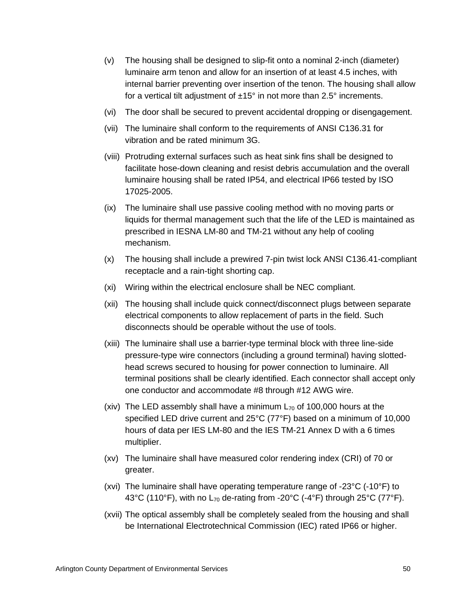- (v) The housing shall be designed to slip-fit onto a nominal 2-inch (diameter) luminaire arm tenon and allow for an insertion of at least 4.5 inches, with internal barrier preventing over insertion of the tenon. The housing shall allow for a vertical tilt adjustment of  $\pm 15^\circ$  in not more than 2.5 $^\circ$  increments.
- (vi) The door shall be secured to prevent accidental dropping or disengagement.
- (vii) The luminaire shall conform to the requirements of ANSI C136.31 for vibration and be rated minimum 3G.
- (viii) Protruding external surfaces such as heat sink fins shall be designed to facilitate hose-down cleaning and resist debris accumulation and the overall luminaire housing shall be rated IP54, and electrical IP66 tested by ISO 17025-2005.
- (ix) The luminaire shall use passive cooling method with no moving parts or liquids for thermal management such that the life of the LED is maintained as prescribed in IESNA LM-80 and TM-21 without any help of cooling mechanism.
- (x) The housing shall include a prewired 7-pin twist lock ANSI C136.41-compliant receptacle and a rain-tight shorting cap.
- (xi) Wiring within the electrical enclosure shall be NEC compliant.
- (xii) The housing shall include quick connect/disconnect plugs between separate electrical components to allow replacement of parts in the field. Such disconnects should be operable without the use of tools.
- (xiii) The luminaire shall use a barrier-type terminal block with three line-side pressure-type wire connectors (including a ground terminal) having slottedhead screws secured to housing for power connection to luminaire. All terminal positions shall be clearly identified. Each connector shall accept only one conductor and accommodate #8 through #12 AWG wire.
- (xiv) The LED assembly shall have a minimum  $L_{70}$  of 100,000 hours at the specified LED drive current and 25°C (77°F) based on a minimum of 10,000 hours of data per IES LM-80 and the IES TM-21 Annex D with a 6 times multiplier.
- (xv) The luminaire shall have measured color rendering index (CRI) of 70 or greater.
- (xvi) The luminaire shall have operating temperature range of -23°C (-10°F) to 43°C (110°F), with no  $L_{70}$  de-rating from -20°C (-4°F) through 25°C (77°F).
- (xvii) The optical assembly shall be completely sealed from the housing and shall be International Electrotechnical Commission (IEC) rated IP66 or higher.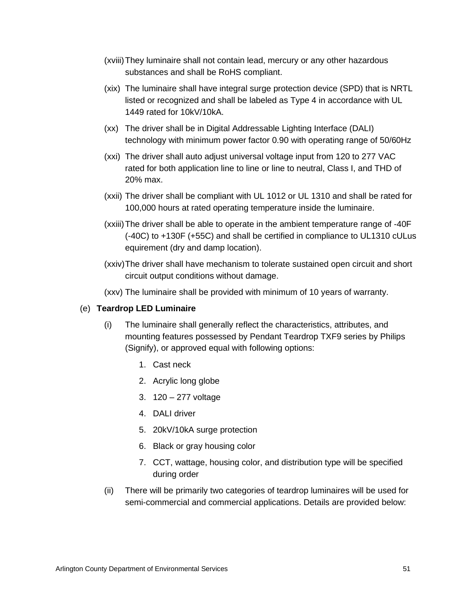- (xviii)They luminaire shall not contain lead, mercury or any other hazardous substances and shall be RoHS compliant.
- (xix) The luminaire shall have integral surge protection device (SPD) that is NRTL listed or recognized and shall be labeled as Type 4 in accordance with UL 1449 rated for 10kV/10kA.
- (xx) The driver shall be in Digital Addressable Lighting Interface (DALI) technology with minimum power factor 0.90 with operating range of 50/60Hz
- (xxi) The driver shall auto adjust universal voltage input from 120 to 277 VAC rated for both application line to line or line to neutral, Class I, and THD of 20% max.
- (xxii) The driver shall be compliant with UL 1012 or UL 1310 and shall be rated for 100,000 hours at rated operating temperature inside the luminaire.
- (xxiii)The driver shall be able to operate in the ambient temperature range of -40F (-40C) to +130F (+55C) and shall be certified in compliance to UL1310 cULus equirement (dry and damp location).
- (xxiv)The driver shall have mechanism to tolerate sustained open circuit and short circuit output conditions without damage.

(xxv) The luminaire shall be provided with minimum of 10 years of warranty.

#### (e) **Teardrop LED Luminaire**

- (i) The luminaire shall generally reflect the characteristics, attributes, and mounting features possessed by Pendant Teardrop TXF9 series by Philips (Signify), or approved equal with following options:
	- 1. Cast neck
	- 2. Acrylic long globe
	- 3. 120 277 voltage
	- 4. DALI driver
	- 5. 20kV/10kA surge protection
	- 6. Black or gray housing color
	- 7. CCT, wattage, housing color, and distribution type will be specified during order
- (ii) There will be primarily two categories of teardrop luminaires will be used for semi-commercial and commercial applications. Details are provided below: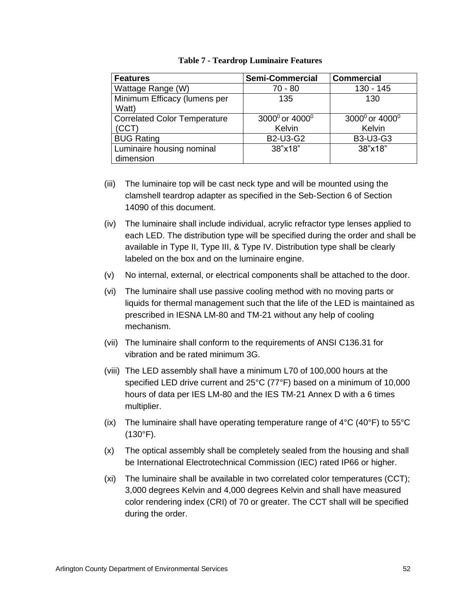| <b>Features</b>                     | <b>Semi-Commercial</b>                 | <b>Commercial</b>                      |
|-------------------------------------|----------------------------------------|----------------------------------------|
| Wattage Range (W)                   | $70 - 80$                              | 130 - 145                              |
| Minimum Efficacy (lumens per        | 135                                    | 130                                    |
| Watt)                               |                                        |                                        |
| <b>Correlated Color Temperature</b> | 3000 <sup>0</sup> or 4000 <sup>0</sup> | 3000 <sup>0</sup> or 4000 <sup>0</sup> |
| (CCT)                               | Kelvin                                 | Kelvin                                 |
| <b>BUG Rating</b>                   | <b>B2-U3-G2</b>                        | <b>B3-U3-G3</b>                        |
| Luminaire housing nominal           | 38"x18"                                | 38"x18"                                |
| dimension                           |                                        |                                        |

#### **Table 7 - Teardrop Luminaire Features**

- (iii) The luminaire top will be cast neck type and will be mounted using the clamshell teardrop adapter as specified in the Seb-Section 6 of Section 14090 of this document.
- (iv) The luminaire shall include individual, acrylic refractor type lenses applied to each LED. The distribution type will be specified during the order and shall be available in Type II, Type III, & Type IV. Distribution type shall be clearly labeled on the box and on the luminaire engine.
- (v) No internal, external, or electrical components shall be attached to the door.
- (vi) The luminaire shall use passive cooling method with no moving parts or liquids for thermal management such that the life of the LED is maintained as prescribed in IESNA LM-80 and TM-21 without any help of cooling mechanism.
- (vii) The luminaire shall conform to the requirements of ANSI C136.31 for vibration and be rated minimum 3G.
- (viii) The LED assembly shall have a minimum L70 of 100,000 hours at the specified LED drive current and 25°C (77°F) based on a minimum of 10,000 hours of data per IES LM-80 and the IES TM-21 Annex D with a 6 times multiplier.
- (ix) The luminaire shall have operating temperature range of  $4^{\circ}C$  (40 $^{\circ}F$ ) to 55 $^{\circ}C$ (130°F).
- (x) The optical assembly shall be completely sealed from the housing and shall be International Electrotechnical Commission (IEC) rated IP66 or higher.
- (xi) The luminaire shall be available in two correlated color temperatures (CCT); 3,000 degrees Kelvin and 4,000 degrees Kelvin and shall have measured color rendering index (CRI) of 70 or greater. The CCT shall will be specified during the order.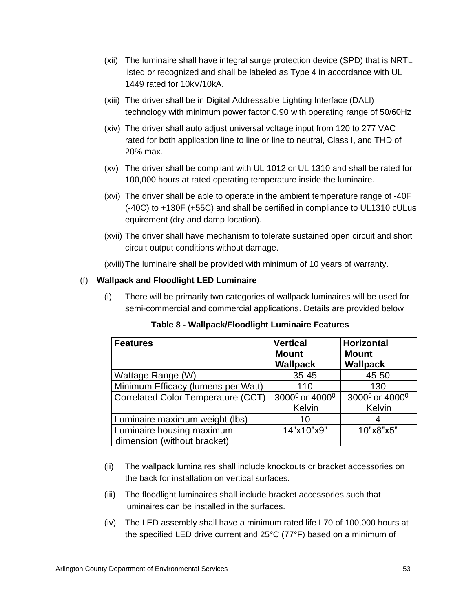- (xii) The luminaire shall have integral surge protection device (SPD) that is NRTL listed or recognized and shall be labeled as Type 4 in accordance with UL 1449 rated for 10kV/10kA.
- (xiii) The driver shall be in Digital Addressable Lighting Interface (DALI) technology with minimum power factor 0.90 with operating range of 50/60Hz
- (xiv) The driver shall auto adjust universal voltage input from 120 to 277 VAC rated for both application line to line or line to neutral, Class I, and THD of 20% max.
- (xv) The driver shall be compliant with UL 1012 or UL 1310 and shall be rated for 100,000 hours at rated operating temperature inside the luminaire.
- (xvi) The driver shall be able to operate in the ambient temperature range of -40F (-40C) to +130F (+55C) and shall be certified in compliance to UL1310 cULus equirement (dry and damp location).
- (xvii) The driver shall have mechanism to tolerate sustained open circuit and short circuit output conditions without damage.

(xviii)The luminaire shall be provided with minimum of 10 years of warranty.

# (f) **Wallpack and Floodlight LED Luminaire**

(i) There will be primarily two categories of wallpack luminaires will be used for semi-commercial and commercial applications. Details are provided below

| <b>Features</b>                                          | <b>Vertical</b><br><b>Mount</b><br><b>Wallpack</b> | <b>Horizontal</b><br><b>Mount</b><br><b>Wallpack</b> |
|----------------------------------------------------------|----------------------------------------------------|------------------------------------------------------|
| Wattage Range (W)                                        | $35 - 45$                                          | 45-50                                                |
| Minimum Efficacy (lumens per Watt)                       | 110                                                | 130                                                  |
| Correlated Color Temperature (CCT)                       | 3000 <sup>0</sup> or 4000 <sup>0</sup>             | 3000 <sup>0</sup> or 4000 <sup>0</sup>               |
|                                                          | Kelvin                                             | Kelvin                                               |
| Luminaire maximum weight (lbs)                           | 10                                                 |                                                      |
| Luminaire housing maximum<br>dimension (without bracket) | 14"x10"x9"                                         | 10"x8"x5"                                            |

# **Table 8 - Wallpack/Floodlight Luminaire Features**

- (ii) The wallpack luminaires shall include knockouts or bracket accessories on the back for installation on vertical surfaces.
- (iii) The floodlight luminaires shall include bracket accessories such that luminaires can be installed in the surfaces.
- (iv) The LED assembly shall have a minimum rated life L70 of 100,000 hours at the specified LED drive current and 25°C (77°F) based on a minimum of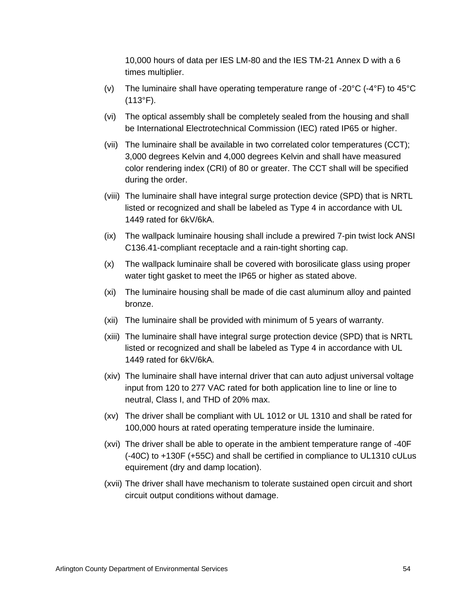10,000 hours of data per IES LM-80 and the IES TM-21 Annex D with a 6 times multiplier.

- (v) The luminaire shall have operating temperature range of -20°C (-4°F) to 45°C (113°F).
- (vi) The optical assembly shall be completely sealed from the housing and shall be International Electrotechnical Commission (IEC) rated IP65 or higher.
- (vii) The luminaire shall be available in two correlated color temperatures (CCT); 3,000 degrees Kelvin and 4,000 degrees Kelvin and shall have measured color rendering index (CRI) of 80 or greater. The CCT shall will be specified during the order.
- (viii) The luminaire shall have integral surge protection device (SPD) that is NRTL listed or recognized and shall be labeled as Type 4 in accordance with UL 1449 rated for 6kV/6kA.
- (ix) The wallpack luminaire housing shall include a prewired 7-pin twist lock ANSI C136.41-compliant receptacle and a rain-tight shorting cap.
- (x) The wallpack luminaire shall be covered with borosilicate glass using proper water tight gasket to meet the IP65 or higher as stated above.
- (xi) The luminaire housing shall be made of die cast aluminum alloy and painted bronze.
- (xii) The luminaire shall be provided with minimum of 5 years of warranty.
- (xiii) The luminaire shall have integral surge protection device (SPD) that is NRTL listed or recognized and shall be labeled as Type 4 in accordance with UL 1449 rated for 6kV/6kA.
- (xiv) The luminaire shall have internal driver that can auto adjust universal voltage input from 120 to 277 VAC rated for both application line to line or line to neutral, Class I, and THD of 20% max.
- (xv) The driver shall be compliant with UL 1012 or UL 1310 and shall be rated for 100,000 hours at rated operating temperature inside the luminaire.
- (xvi) The driver shall be able to operate in the ambient temperature range of -40F (-40C) to +130F (+55C) and shall be certified in compliance to UL1310 cULus equirement (dry and damp location).
- (xvii) The driver shall have mechanism to tolerate sustained open circuit and short circuit output conditions without damage.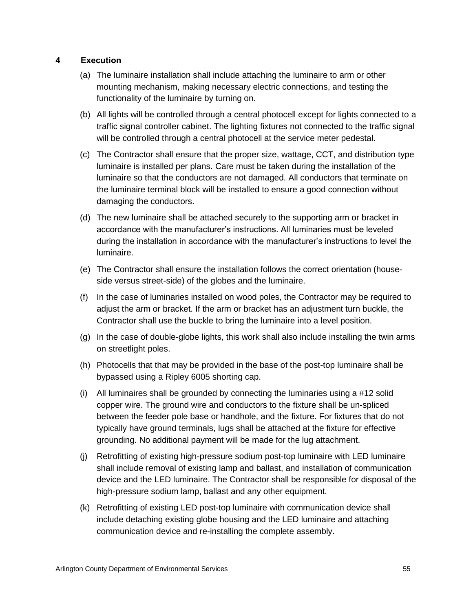# **4 Execution**

- (a) The luminaire installation shall include attaching the luminaire to arm or other mounting mechanism, making necessary electric connections, and testing the functionality of the luminaire by turning on.
- (b) All lights will be controlled through a central photocell except for lights connected to a traffic signal controller cabinet. The lighting fixtures not connected to the traffic signal will be controlled through a central photocell at the service meter pedestal.
- (c) The Contractor shall ensure that the proper size, wattage, CCT, and distribution type luminaire is installed per plans. Care must be taken during the installation of the luminaire so that the conductors are not damaged. All conductors that terminate on the luminaire terminal block will be installed to ensure a good connection without damaging the conductors.
- (d) The new luminaire shall be attached securely to the supporting arm or bracket in accordance with the manufacturer's instructions. All luminaries must be leveled during the installation in accordance with the manufacturer's instructions to level the luminaire.
- (e) The Contractor shall ensure the installation follows the correct orientation (houseside versus street-side) of the globes and the luminaire.
- (f) In the case of luminaries installed on wood poles, the Contractor may be required to adjust the arm or bracket. If the arm or bracket has an adjustment turn buckle, the Contractor shall use the buckle to bring the luminaire into a level position.
- (g) In the case of double-globe lights, this work shall also include installing the twin arms on streetlight poles.
- (h) Photocells that that may be provided in the base of the post-top luminaire shall be bypassed using a Ripley 6005 shorting cap.
- (i) All luminaires shall be grounded by connecting the luminaries using a  $#12$  solid copper wire. The ground wire and conductors to the fixture shall be un-spliced between the feeder pole base or handhole, and the fixture. For fixtures that do not typically have ground terminals, lugs shall be attached at the fixture for effective grounding. No additional payment will be made for the lug attachment.
- (j) Retrofitting of existing high-pressure sodium post-top luminaire with LED luminaire shall include removal of existing lamp and ballast, and installation of communication device and the LED luminaire. The Contractor shall be responsible for disposal of the high-pressure sodium lamp, ballast and any other equipment.
- (k) Retrofitting of existing LED post-top luminaire with communication device shall include detaching existing globe housing and the LED luminaire and attaching communication device and re-installing the complete assembly.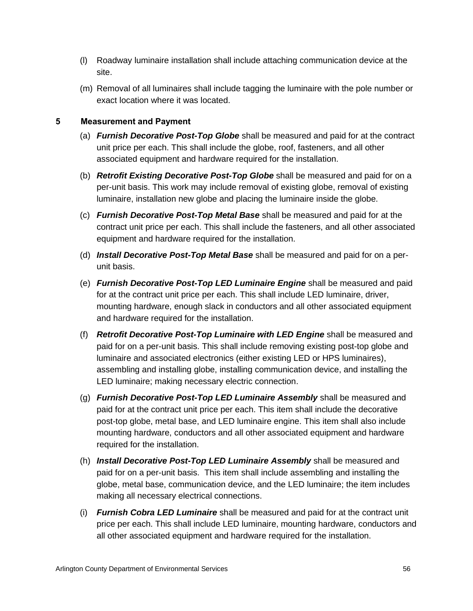- (l) Roadway luminaire installation shall include attaching communication device at the site.
- (m) Removal of all luminaires shall include tagging the luminaire with the pole number or exact location where it was located.

- (a) *Furnish Decorative Post-Top Globe* shall be measured and paid for at the contract unit price per each. This shall include the globe, roof, fasteners, and all other associated equipment and hardware required for the installation.
- (b) *Retrofit Existing Decorative Post-Top Globe* shall be measured and paid for on a per-unit basis. This work may include removal of existing globe, removal of existing luminaire, installation new globe and placing the luminaire inside the globe.
- (c) *Furnish Decorative Post-Top Metal Base* shall be measured and paid for at the contract unit price per each. This shall include the fasteners, and all other associated equipment and hardware required for the installation.
- (d) *Install Decorative Post-Top Metal Base* shall be measured and paid for on a perunit basis.
- (e) *Furnish Decorative Post-Top LED Luminaire Engine* shall be measured and paid for at the contract unit price per each. This shall include LED luminaire, driver, mounting hardware, enough slack in conductors and all other associated equipment and hardware required for the installation.
- (f) *Retrofit Decorative Post-Top Luminaire with LED Engine* shall be measured and paid for on a per-unit basis. This shall include removing existing post-top globe and luminaire and associated electronics (either existing LED or HPS luminaires), assembling and installing globe, installing communication device, and installing the LED luminaire; making necessary electric connection.
- (g) *Furnish Decorative Post-Top LED Luminaire Assembly* shall be measured and paid for at the contract unit price per each. This item shall include the decorative post-top globe, metal base, and LED luminaire engine. This item shall also include mounting hardware, conductors and all other associated equipment and hardware required for the installation.
- (h) *Install Decorative Post-Top LED Luminaire Assembly* shall be measured and paid for on a per-unit basis. This item shall include assembling and installing the globe, metal base, communication device, and the LED luminaire; the item includes making all necessary electrical connections.
- (i) *Furnish Cobra LED Luminaire* shall be measured and paid for at the contract unit price per each. This shall include LED luminaire, mounting hardware, conductors and all other associated equipment and hardware required for the installation.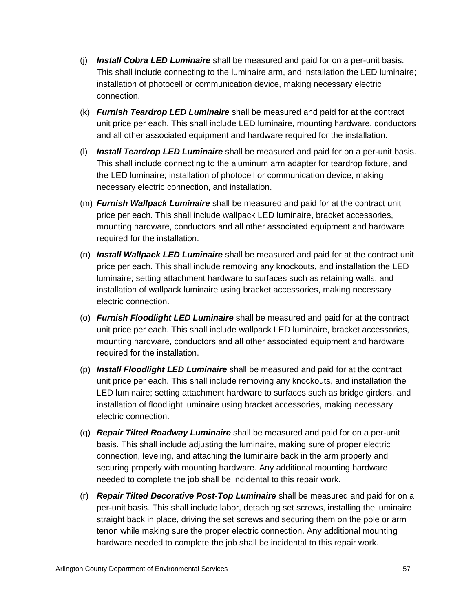- (j) *Install Cobra LED Luminaire* shall be measured and paid for on a per-unit basis. This shall include connecting to the luminaire arm, and installation the LED luminaire; installation of photocell or communication device, making necessary electric connection.
- (k) *Furnish Teardrop LED Luminaire* shall be measured and paid for at the contract unit price per each. This shall include LED luminaire, mounting hardware, conductors and all other associated equipment and hardware required for the installation.
- (l) *Install Teardrop LED Luminaire* shall be measured and paid for on a per-unit basis. This shall include connecting to the aluminum arm adapter for teardrop fixture, and the LED luminaire; installation of photocell or communication device, making necessary electric connection, and installation.
- (m) *Furnish Wallpack Luminaire* shall be measured and paid for at the contract unit price per each. This shall include wallpack LED luminaire, bracket accessories, mounting hardware, conductors and all other associated equipment and hardware required for the installation.
- (n) *Install Wallpack LED Luminaire* shall be measured and paid for at the contract unit price per each. This shall include removing any knockouts, and installation the LED luminaire; setting attachment hardware to surfaces such as retaining walls, and installation of wallpack luminaire using bracket accessories, making necessary electric connection.
- (o) *Furnish Floodlight LED Luminaire* shall be measured and paid for at the contract unit price per each. This shall include wallpack LED luminaire, bracket accessories, mounting hardware, conductors and all other associated equipment and hardware required for the installation.
- (p) *Install Floodlight LED Luminaire* shall be measured and paid for at the contract unit price per each. This shall include removing any knockouts, and installation the LED luminaire; setting attachment hardware to surfaces such as bridge girders, and installation of floodlight luminaire using bracket accessories, making necessary electric connection.
- (q) *Repair Tilted Roadway Luminaire* shall be measured and paid for on a per-unit basis. This shall include adjusting the luminaire, making sure of proper electric connection, leveling, and attaching the luminaire back in the arm properly and securing properly with mounting hardware. Any additional mounting hardware needed to complete the job shall be incidental to this repair work.
- (r) *Repair Tilted Decorative Post-Top Luminaire* shall be measured and paid for on a per-unit basis. This shall include labor, detaching set screws, installing the luminaire straight back in place, driving the set screws and securing them on the pole or arm tenon while making sure the proper electric connection. Any additional mounting hardware needed to complete the job shall be incidental to this repair work.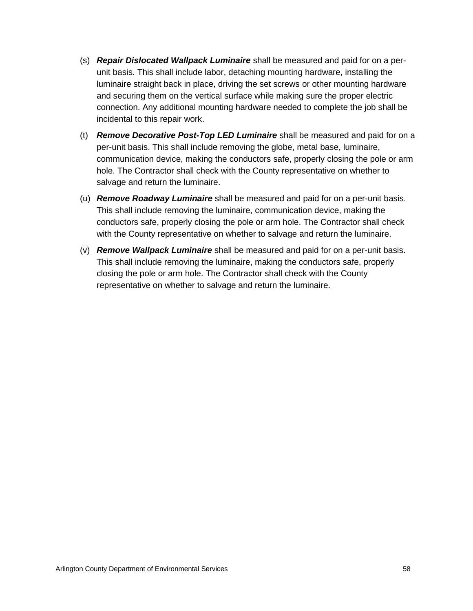- (s) *Repair Dislocated Wallpack Luminaire* shall be measured and paid for on a perunit basis. This shall include labor, detaching mounting hardware, installing the luminaire straight back in place, driving the set screws or other mounting hardware and securing them on the vertical surface while making sure the proper electric connection. Any additional mounting hardware needed to complete the job shall be incidental to this repair work.
- (t) *Remove Decorative Post-Top LED Luminaire* shall be measured and paid for on a per-unit basis. This shall include removing the globe, metal base, luminaire, communication device, making the conductors safe, properly closing the pole or arm hole. The Contractor shall check with the County representative on whether to salvage and return the luminaire.
- (u) *Remove Roadway Luminaire* shall be measured and paid for on a per-unit basis. This shall include removing the luminaire, communication device, making the conductors safe, properly closing the pole or arm hole. The Contractor shall check with the County representative on whether to salvage and return the luminaire.
- (v) *Remove Wallpack Luminaire* shall be measured and paid for on a per-unit basis. This shall include removing the luminaire, making the conductors safe, properly closing the pole or arm hole. The Contractor shall check with the County representative on whether to salvage and return the luminaire.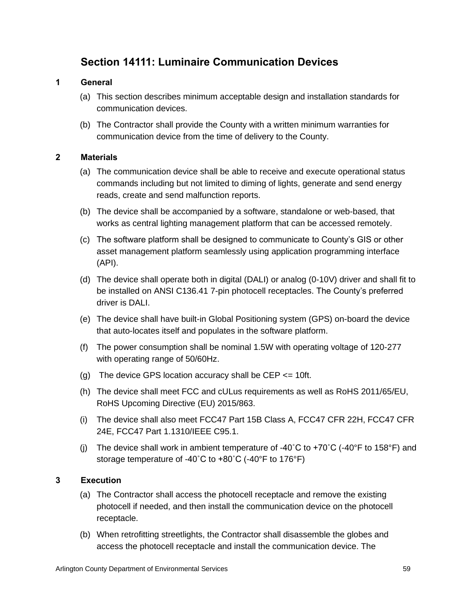# **Section 14111: Luminaire Communication Devices**

# **1 General**

- (a) This section describes minimum acceptable design and installation standards for communication devices.
- (b) The Contractor shall provide the County with a written minimum warranties for communication device from the time of delivery to the County.

# **2 Materials**

- (a) The communication device shall be able to receive and execute operational status commands including but not limited to diming of lights, generate and send energy reads, create and send malfunction reports.
- (b) The device shall be accompanied by a software, standalone or web-based, that works as central lighting management platform that can be accessed remotely.
- (c) The software platform shall be designed to communicate to County's GIS or other asset management platform seamlessly using application programming interface (API).
- (d) The device shall operate both in digital (DALI) or analog (0-10V) driver and shall fit to be installed on ANSI C136.41 7-pin photocell receptacles. The County's preferred driver is DALI.
- (e) The device shall have built-in Global Positioning system (GPS) on-board the device that auto-locates itself and populates in the software platform.
- (f) The power consumption shall be nominal 1.5W with operating voltage of 120-277 with operating range of 50/60Hz.
- (g) The device GPS location accuracy shall be CEP <= 10ft.
- (h) The device shall meet FCC and cULus requirements as well as RoHS 2011/65/EU, RoHS Upcoming Directive (EU) 2015/863.
- (i) The device shall also meet FCC47 Part 15B Class A, FCC47 CFR 22H, FCC47 CFR 24E, FCC47 Part 1.1310/IEEE C95.1.
- (i) The device shall work in ambient temperature of -40 $\degree$ C to +70 $\degree$ C (-40 $\degree$ F to 158 $\degree$ F) and storage temperature of -40˚C to +80˚C (-40°F to 176°F)

# **3 Execution**

- (a) The Contractor shall access the photocell receptacle and remove the existing photocell if needed, and then install the communication device on the photocell receptacle.
- (b) When retrofitting streetlights, the Contractor shall disassemble the globes and access the photocell receptacle and install the communication device. The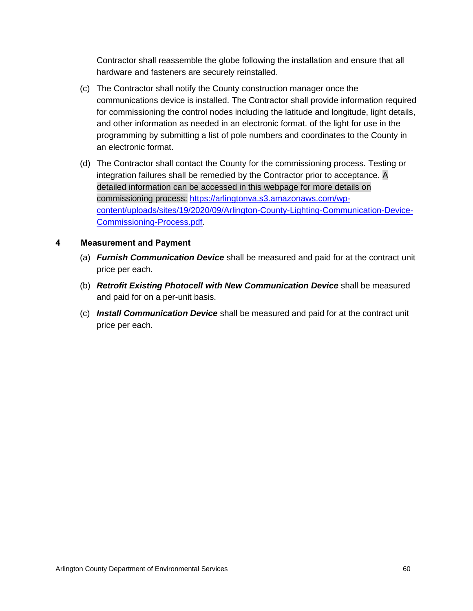Contractor shall reassemble the globe following the installation and ensure that all hardware and fasteners are securely reinstalled.

- (c) The Contractor shall notify the County construction manager once the communications device is installed. The Contractor shall provide information required for commissioning the control nodes including the latitude and longitude, light details, and other information as needed in an electronic format. of the light for use in the programming by submitting a list of pole numbers and coordinates to the County in an electronic format.
- (d) The Contractor shall contact the County for the commissioning process. Testing or integration failures shall be remedied by the Contractor prior to acceptance. A detailed information can be accessed in this webpage for more details on commissioning process: [https://arlingtonva.s3.amazonaws.com/wp](https://arlingtonva.s3.amazonaws.com/wp-content/uploads/sites/19/2020/09/Arlington-County-Lighting-Communication-Device-Commissioning-Process.pdf)[content/uploads/sites/19/2020/09/Arlington-County-Lighting-Communication-Device-](https://arlingtonva.s3.amazonaws.com/wp-content/uploads/sites/19/2020/09/Arlington-County-Lighting-Communication-Device-Commissioning-Process.pdf)[Commissioning-Process.pdf.](https://arlingtonva.s3.amazonaws.com/wp-content/uploads/sites/19/2020/09/Arlington-County-Lighting-Communication-Device-Commissioning-Process.pdf)

- (a) *Furnish Communication Device* shall be measured and paid for at the contract unit price per each.
- (b) *Retrofit Existing Photocell with New Communication Device* shall be measured and paid for on a per-unit basis.
- (c) *Install Communication Device* shall be measured and paid for at the contract unit price per each.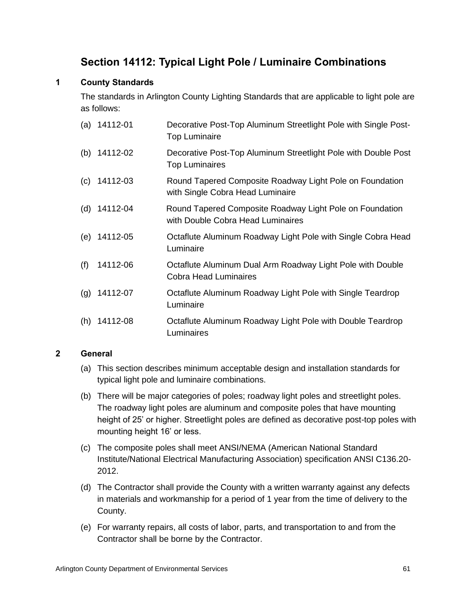# **Section 14112: Typical Light Pole / Luminaire Combinations**

# **1 County Standards**

The standards in Arlington County Lighting Standards that are applicable to light pole are as follows:

|     | $(a)$ 14112-01 | Decorative Post-Top Aluminum Streetlight Pole with Single Post-<br><b>Top Luminaire</b>       |
|-----|----------------|-----------------------------------------------------------------------------------------------|
| (b) | 14112-02       | Decorative Post-Top Aluminum Streetlight Pole with Double Post<br><b>Top Luminaires</b>       |
| (c) | 14112-03       | Round Tapered Composite Roadway Light Pole on Foundation<br>with Single Cobra Head Luminaire  |
|     | (d) $14112-04$ | Round Tapered Composite Roadway Light Pole on Foundation<br>with Double Cobra Head Luminaires |
|     | (e) 14112-05   | Octaflute Aluminum Roadway Light Pole with Single Cobra Head<br>Luminaire                     |
| (f) | 14112-06       | Octaflute Aluminum Dual Arm Roadway Light Pole with Double<br><b>Cobra Head Luminaires</b>    |
| (g) | 14112-07       | Octaflute Aluminum Roadway Light Pole with Single Teardrop<br>Luminaire                       |
| (h) | 14112-08       | Octaflute Aluminum Roadway Light Pole with Double Teardrop<br>Luminaires                      |

# **2 General**

- (a) This section describes minimum acceptable design and installation standards for typical light pole and luminaire combinations.
- (b) There will be major categories of poles; roadway light poles and streetlight poles. The roadway light poles are aluminum and composite poles that have mounting height of 25' or higher. Streetlight poles are defined as decorative post-top poles with mounting height 16' or less.
- (c) The composite poles shall meet ANSI/NEMA (American National Standard Institute/National Electrical Manufacturing Association) specification ANSI C136.20- 2012.
- (d) The Contractor shall provide the County with a written warranty against any defects in materials and workmanship for a period of 1 year from the time of delivery to the County.
- (e) For warranty repairs, all costs of labor, parts, and transportation to and from the Contractor shall be borne by the Contractor.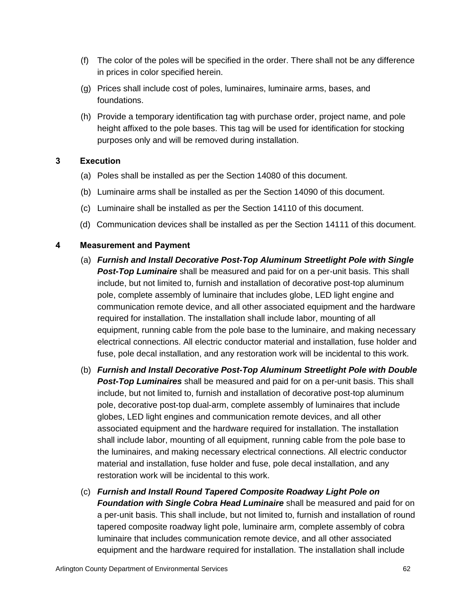- (f) The color of the poles will be specified in the order. There shall not be any difference in prices in color specified herein.
- (g) Prices shall include cost of poles, luminaires, luminaire arms, bases, and foundations.
- (h) Provide a temporary identification tag with purchase order, project name, and pole height affixed to the pole bases. This tag will be used for identification for stocking purposes only and will be removed during installation.

# **3 Execution**

- (a) Poles shall be installed as per the Section 14080 of this document.
- (b) Luminaire arms shall be installed as per the Section 14090 of this document.
- (c) Luminaire shall be installed as per the Section 14110 of this document.
- (d) Communication devices shall be installed as per the Section 14111 of this document.

- (a) *Furnish and Install Decorative Post-Top Aluminum Streetlight Pole with Single Post-Top Luminaire* shall be measured and paid for on a per-unit basis. This shall include, but not limited to, furnish and installation of decorative post-top aluminum pole, complete assembly of luminaire that includes globe, LED light engine and communication remote device, and all other associated equipment and the hardware required for installation. The installation shall include labor, mounting of all equipment, running cable from the pole base to the luminaire, and making necessary electrical connections. All electric conductor material and installation, fuse holder and fuse, pole decal installation, and any restoration work will be incidental to this work.
- (b) *Furnish and Install Decorative Post-Top Aluminum Streetlight Pole with Double Post-Top Luminaires* shall be measured and paid for on a per-unit basis. This shall include, but not limited to, furnish and installation of decorative post-top aluminum pole, decorative post-top dual-arm, complete assembly of luminaires that include globes, LED light engines and communication remote devices, and all other associated equipment and the hardware required for installation. The installation shall include labor, mounting of all equipment, running cable from the pole base to the luminaires, and making necessary electrical connections. All electric conductor material and installation, fuse holder and fuse, pole decal installation, and any restoration work will be incidental to this work.
- (c) *Furnish and Install Round Tapered Composite Roadway Light Pole on Foundation with Single Cobra Head Luminaire* shall be measured and paid for on a per-unit basis. This shall include, but not limited to, furnish and installation of round tapered composite roadway light pole, luminaire arm, complete assembly of cobra luminaire that includes communication remote device, and all other associated equipment and the hardware required for installation. The installation shall include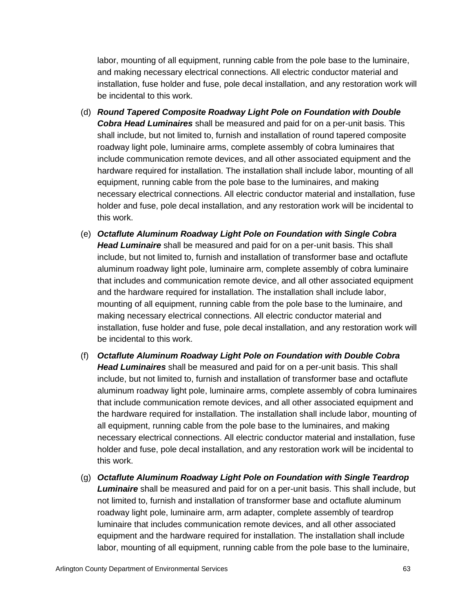labor, mounting of all equipment, running cable from the pole base to the luminaire, and making necessary electrical connections. All electric conductor material and installation, fuse holder and fuse, pole decal installation, and any restoration work will be incidental to this work.

- (d) *Round Tapered Composite Roadway Light Pole on Foundation with Double Cobra Head Luminaires* shall be measured and paid for on a per-unit basis. This shall include, but not limited to, furnish and installation of round tapered composite roadway light pole, luminaire arms, complete assembly of cobra luminaires that include communication remote devices, and all other associated equipment and the hardware required for installation. The installation shall include labor, mounting of all equipment, running cable from the pole base to the luminaires, and making necessary electrical connections. All electric conductor material and installation, fuse holder and fuse, pole decal installation, and any restoration work will be incidental to this work.
- (e) *Octaflute Aluminum Roadway Light Pole on Foundation with Single Cobra Head Luminaire* shall be measured and paid for on a per-unit basis. This shall include, but not limited to, furnish and installation of transformer base and octaflute aluminum roadway light pole, luminaire arm, complete assembly of cobra luminaire that includes and communication remote device, and all other associated equipment and the hardware required for installation. The installation shall include labor, mounting of all equipment, running cable from the pole base to the luminaire, and making necessary electrical connections. All electric conductor material and installation, fuse holder and fuse, pole decal installation, and any restoration work will be incidental to this work.
- (f) *Octaflute Aluminum Roadway Light Pole on Foundation with Double Cobra Head Luminaires* shall be measured and paid for on a per-unit basis. This shall include, but not limited to, furnish and installation of transformer base and octaflute aluminum roadway light pole, luminaire arms, complete assembly of cobra luminaires that include communication remote devices, and all other associated equipment and the hardware required for installation. The installation shall include labor, mounting of all equipment, running cable from the pole base to the luminaires, and making necessary electrical connections. All electric conductor material and installation, fuse holder and fuse, pole decal installation, and any restoration work will be incidental to this work.
- (g) *Octaflute Aluminum Roadway Light Pole on Foundation with Single Teardrop Luminaire* shall be measured and paid for on a per-unit basis. This shall include, but not limited to, furnish and installation of transformer base and octaflute aluminum roadway light pole, luminaire arm, arm adapter, complete assembly of teardrop luminaire that includes communication remote devices, and all other associated equipment and the hardware required for installation. The installation shall include labor, mounting of all equipment, running cable from the pole base to the luminaire,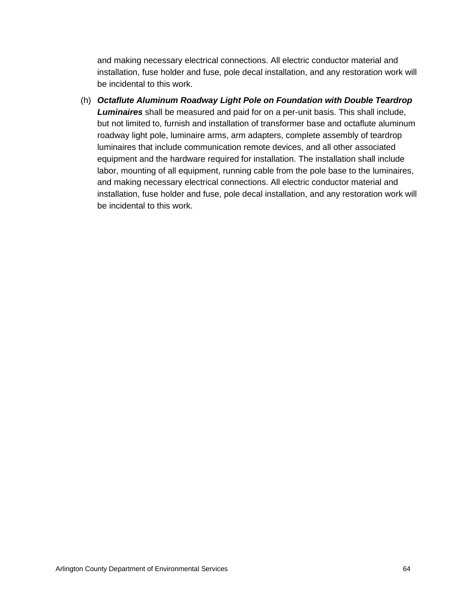and making necessary electrical connections. All electric conductor material and installation, fuse holder and fuse, pole decal installation, and any restoration work will be incidental to this work.

(h) *Octaflute Aluminum Roadway Light Pole on Foundation with Double Teardrop Luminaires* shall be measured and paid for on a per-unit basis. This shall include, but not limited to, furnish and installation of transformer base and octaflute aluminum roadway light pole, luminaire arms, arm adapters, complete assembly of teardrop luminaires that include communication remote devices, and all other associated equipment and the hardware required for installation. The installation shall include labor, mounting of all equipment, running cable from the pole base to the luminaires, and making necessary electrical connections. All electric conductor material and installation, fuse holder and fuse, pole decal installation, and any restoration work will be incidental to this work.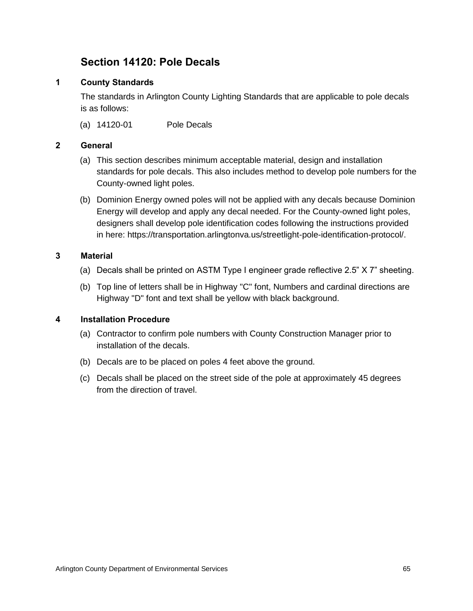# **Section 14120: Pole Decals**

# **1 County Standards**

The standards in Arlington County Lighting Standards that are applicable to pole decals is as follows:

(a) 14120-01 Pole Decals

# **2 General**

- (a) This section describes minimum acceptable material, design and installation standards for pole decals. This also includes method to develop pole numbers for the County-owned light poles.
- (b) Dominion Energy owned poles will not be applied with any decals because Dominion Energy will develop and apply any decal needed. For the County-owned light poles, designers shall develop pole identification codes following the instructions provided in here: https://transportation.arlingtonva.us/streetlight-pole-identification-protocol/.

# **3 Material**

- (a) Decals shall be printed on ASTM Type I engineer grade reflective 2.5" X 7" sheeting.
- (b) Top line of letters shall be in Highway "C" font, Numbers and cardinal directions are Highway "D" font and text shall be yellow with black background.

# **4 Installation Procedure**

- (a) Contractor to confirm pole numbers with County Construction Manager prior to installation of the decals.
- (b) Decals are to be placed on poles 4 feet above the ground.
- (c) Decals shall be placed on the street side of the pole at approximately 45 degrees from the direction of travel.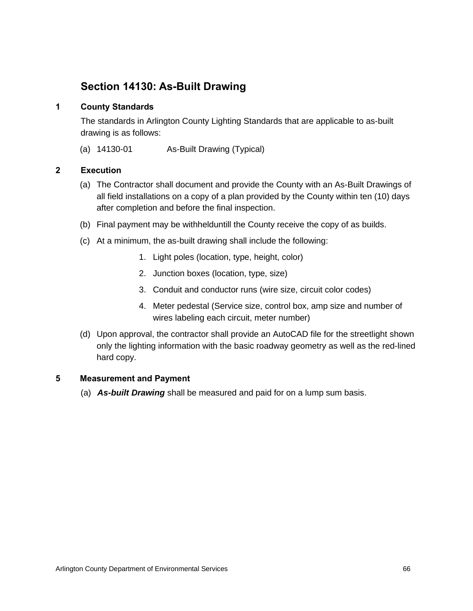# **Section 14130: As-Built Drawing**

# **1 County Standards**

The standards in Arlington County Lighting Standards that are applicable to as-built drawing is as follows:

(a) 14130-01 As-Built Drawing (Typical)

# **2 Execution**

- (a) The Contractor shall document and provide the County with an As-Built Drawings of all field installations on a copy of a plan provided by the County within ten (10) days after completion and before the final inspection.
- (b) Final payment may be withhelduntill the County receive the copy of as builds.
- (c) At a minimum, the as-built drawing shall include the following:
	- 1. Light poles (location, type, height, color)
	- 2. Junction boxes (location, type, size)
	- 3. Conduit and conductor runs (wire size, circuit color codes)
	- 4. Meter pedestal (Service size, control box, amp size and number of wires labeling each circuit, meter number)
- (d) Upon approval, the contractor shall provide an AutoCAD file for the streetlight shown only the lighting information with the basic roadway geometry as well as the red-lined hard copy.

# **5 Measurement and Payment**

(a) *As-built Drawing* shall be measured and paid for on a lump sum basis.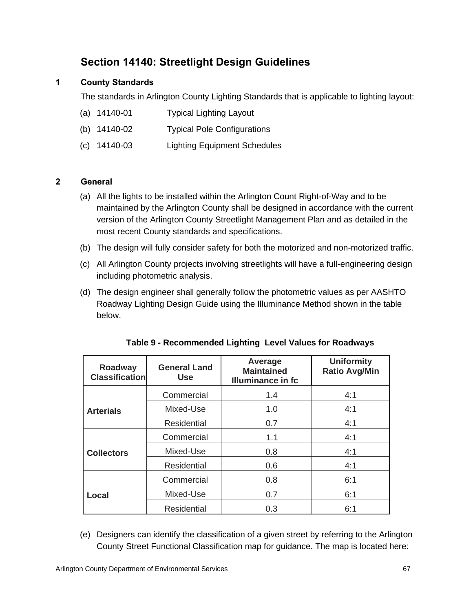# **Section 14140: Streetlight Design Guidelines**

# **1 County Standards**

The standards in Arlington County Lighting Standards that is applicable to lighting layout:

- (a) 14140-01 Typical Lighting Layout
- (b) 14140-02 Typical Pole Configurations
- (c) 14140-03 Lighting Equipment Schedules

## **2 General**

- (a) All the lights to be installed within the Arlington Count Right-of-Way and to be maintained by the Arlington County shall be designed in accordance with the current version of the Arlington County Streetlight Management Plan and as detailed in the most recent County standards and specifications.
- (b) The design will fully consider safety for both the motorized and non-motorized traffic.
- (c) All Arlington County projects involving streetlights will have a full-engineering design including photometric analysis.
- (d) The design engineer shall generally follow the photometric values as per AASHTO Roadway Lighting Design Guide using the Illuminance Method shown in the table below.

| Roadway<br><b>Classification</b> | <b>General Land</b><br><b>Use</b> | Average<br><b>Maintained</b><br><b>Illuminance in fc</b> | <b>Uniformity</b><br><b>Ratio Avg/Min</b> |
|----------------------------------|-----------------------------------|----------------------------------------------------------|-------------------------------------------|
|                                  | Commercial                        | 1.4                                                      | 4:1                                       |
| <b>Arterials</b>                 | Mixed-Use                         | 1.0                                                      | 4:1                                       |
|                                  | <b>Residential</b>                | 0.7                                                      | 4:1                                       |
|                                  | Commercial                        | 1.1                                                      | 4:1                                       |
| <b>Collectors</b>                | Mixed-Use                         | 0.8                                                      | 4:1                                       |
|                                  | <b>Residential</b>                | 0.6                                                      | 4:1                                       |
|                                  | Commercial                        | 0.8                                                      | 6:1                                       |
| Local                            | Mixed-Use                         | 0.7                                                      | 6:1                                       |
|                                  | <b>Residential</b>                | 0.3                                                      | 6:1                                       |

| Table 9 - Recommended Lighting Level Values for Roadways |  |
|----------------------------------------------------------|--|
|                                                          |  |

(e) Designers can identify the classification of a given street by referring to the Arlington County Street Functional Classification map for guidance. The map is located here: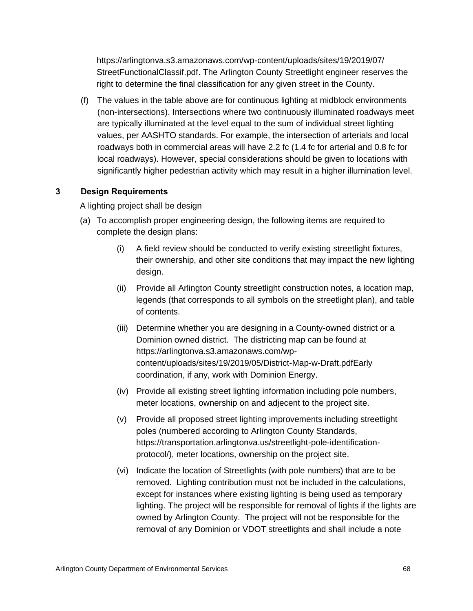https://arlingtonva.s3.amazonaws.com/wp-content/uploads/sites/19/2019/07/ StreetFunctionalClassif.pdf. The Arlington County Streetlight engineer reserves the right to determine the final classification for any given street in the County.

(f) The values in the table above are for continuous lighting at midblock environments (non-intersections). Intersections where two continuously illuminated roadways meet are typically illuminated at the level equal to the sum of individual street lighting values, per AASHTO standards. For example, the intersection of arterials and local roadways both in commercial areas will have 2.2 fc (1.4 fc for arterial and 0.8 fc for local roadways). However, special considerations should be given to locations with significantly higher pedestrian activity which may result in a higher illumination level.

#### **3 Design Requirements**

A lighting project shall be design

- (a) To accomplish proper engineering design, the following items are required to complete the design plans:
	- (i) A field review should be conducted to verify existing streetlight fixtures, their ownership, and other site conditions that may impact the new lighting design.
	- (ii) Provide all Arlington County streetlight construction notes, a location map, legends (that corresponds to all symbols on the streetlight plan), and table of contents.
	- (iii) Determine whether you are designing in a County-owned district or a Dominion owned district. The districting map can be found at https://arlingtonva.s3.amazonaws.com/wpcontent/uploads/sites/19/2019/05/District-Map-w-Draft.pdfEarly coordination, if any, work with Dominion Energy.
	- (iv) Provide all existing street lighting information including pole numbers, meter locations, ownership on and adjecent to the project site.
	- (v) Provide all proposed street lighting improvements including streetlight poles (numbered according to Arlington County Standards, https://transportation.arlingtonva.us/streetlight-pole-identificationprotocol/), meter locations, ownership on the project site.
	- (vi) Indicate the location of Streetlights (with pole numbers) that are to be removed. Lighting contribution must not be included in the calculations, except for instances where existing lighting is being used as temporary lighting. The project will be responsible for removal of lights if the lights are owned by Arlington County. The project will not be responsible for the removal of any Dominion or VDOT streetlights and shall include a note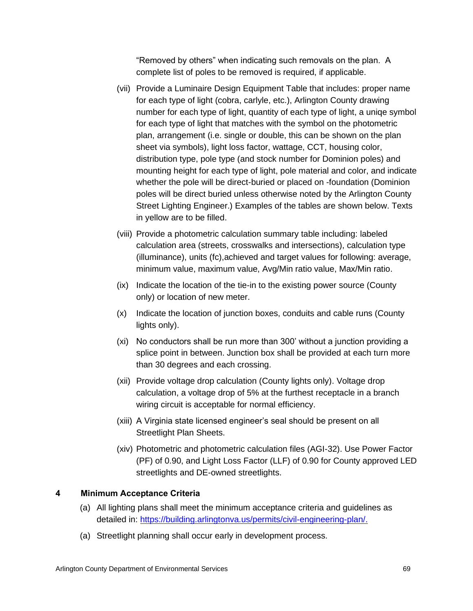"Removed by others" when indicating such removals on the plan. A complete list of poles to be removed is required, if applicable.

- (vii) Provide a Luminaire Design Equipment Table that includes: proper name for each type of light (cobra, carlyle, etc.), Arlington County drawing number for each type of light, quantity of each type of light, a uniqe symbol for each type of light that matches with the symbol on the photometric plan, arrangement (i.e. single or double, this can be shown on the plan sheet via symbols), light loss factor, wattage, CCT, housing color, distribution type, pole type (and stock number for Dominion poles) and mounting height for each type of light, pole material and color, and indicate whether the pole will be direct-buried or placed on -foundation (Dominion poles will be direct buried unless otherwise noted by the Arlington County Street Lighting Engineer.) Examples of the tables are shown below. Texts in yellow are to be filled.
- (viii) Provide a photometric calculation summary table including: labeled calculation area (streets, crosswalks and intersections), calculation type (illuminance), units (fc),achieved and target values for following: average, minimum value, maximum value, Avg/Min ratio value, Max/Min ratio.
- (ix) Indicate the location of the tie-in to the existing power source (County only) or location of new meter.
- (x) Indicate the location of junction boxes, conduits and cable runs (County lights only).
- (xi) No conductors shall be run more than 300' without a junction providing a splice point in between. Junction box shall be provided at each turn more than 30 degrees and each crossing.
- (xii) Provide voltage drop calculation (County lights only). Voltage drop calculation, a voltage drop of 5% at the furthest receptacle in a branch wiring circuit is acceptable for normal efficiency.
- (xiii) A Virginia state licensed engineer's seal should be present on all Streetlight Plan Sheets.
- (xiv) Photometric and photometric calculation files (AGI-32). Use Power Factor (PF) of 0.90, and Light Loss Factor (LLF) of 0.90 for County approved LED streetlights and DE-owned streetlights.

## **4 Minimum Acceptance Criteria**

- (a) All lighting plans shall meet the minimum acceptance criteria and guidelines as detailed in: [https://building.arlingtonva.us/permits/civil-engineering-plan/.](https://building.arlingtonva.us/permits/civil-engineering-plan/)
- (a) Streetlight planning shall occur early in development process.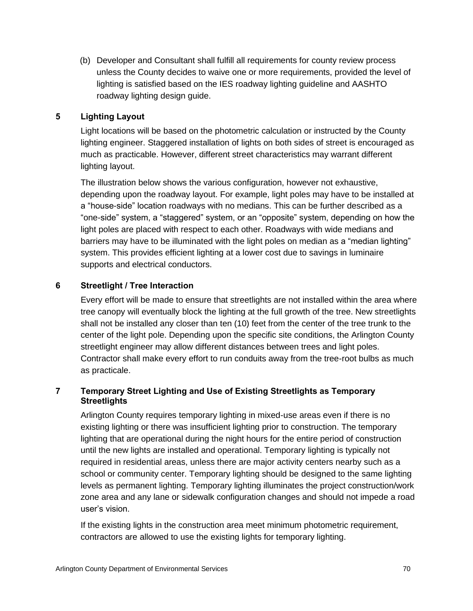(b) Developer and Consultant shall fulfill all requirements for county review process unless the County decides to waive one or more requirements, provided the level of lighting is satisfied based on the IES roadway lighting guideline and AASHTO roadway lighting design guide.

#### **5 Lighting Layout**

Light locations will be based on the photometric calculation or instructed by the County lighting engineer. Staggered installation of lights on both sides of street is encouraged as much as practicable. However, different street characteristics may warrant different lighting layout.

The illustration below shows the various configuration, however not exhaustive, depending upon the roadway layout. For example, light poles may have to be installed at a "house-side" location roadways with no medians. This can be further described as a "one-side" system, a "staggered" system, or an "opposite" system, depending on how the light poles are placed with respect to each other. Roadways with wide medians and barriers may have to be illuminated with the light poles on median as a "median lighting" system. This provides efficient lighting at a lower cost due to savings in luminaire supports and electrical conductors.

#### **6 Streetlight / Tree Interaction**

Every effort will be made to ensure that streetlights are not installed within the area where tree canopy will eventually block the lighting at the full growth of the tree. New streetlights shall not be installed any closer than ten (10) feet from the center of the tree trunk to the center of the light pole. Depending upon the specific site conditions, the Arlington County streetlight engineer may allow different distances between trees and light poles. Contractor shall make every effort to run conduits away from the tree-root bulbs as much as practicale.

## **7 Temporary Street Lighting and Use of Existing Streetlights as Temporary Streetlights**

Arlington County requires temporary lighting in mixed-use areas even if there is no existing lighting or there was insufficient lighting prior to construction. The temporary lighting that are operational during the night hours for the entire period of construction until the new lights are installed and operational. Temporary lighting is typically not required in residential areas, unless there are major activity centers nearby such as a school or community center. Temporary lighting should be designed to the same lighting levels as permanent lighting. Temporary lighting illuminates the project construction/work zone area and any lane or sidewalk configuration changes and should not impede a road user's vision.

If the existing lights in the construction area meet minimum photometric requirement, contractors are allowed to use the existing lights for temporary lighting.